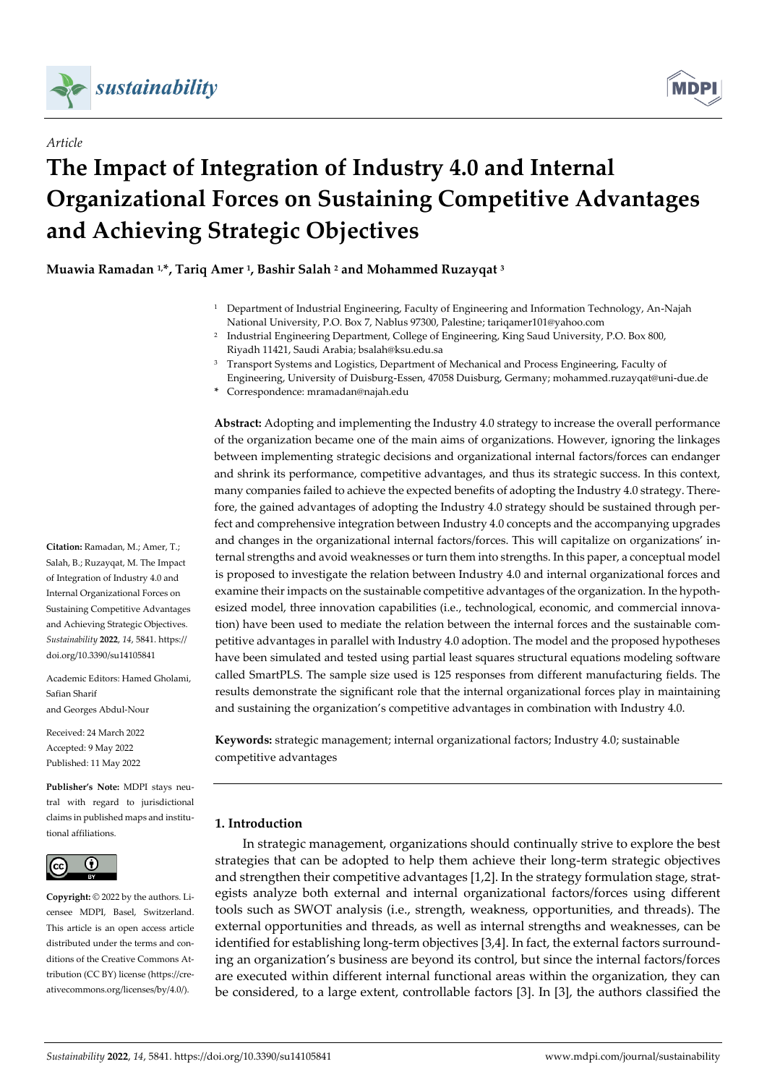



# **The Impact of Integration of Industry 4.0 and Internal Organizational Forces on Sustaining Competitive Advantages and Achieving Strategic Objectives**

**Muawia Ramadan 1,\*, Tariq Amer <sup>1</sup> , Bashir Salah <sup>2</sup> and Mohammed Ruzayqat <sup>3</sup>**

- <sup>1</sup> Department of Industrial Engineering, Faculty of Engineering and Information Technology, An-Najah National University, P.O. Box 7, Nablus 97300, Palestine; tariqamer101@yahoo.com
- <sup>2</sup> Industrial Engineering Department, College of Engineering, King Saud University, P.O. Box 800, Riyadh 11421, Saudi Arabia; bsalah@ksu.edu.sa
- <sup>3</sup> Transport Systems and Logistics, Department of Mechanical and Process Engineering, Faculty of Engineering, University of Duisburg-Essen, 47058 Duisburg, Germany; mohammed.ruzayqat@uni-due.de
- **\*** Correspondence: mramadan@najah.edu

**Abstract:** Adopting and implementing the Industry 4.0 strategy to increase the overall performance of the organization became one of the main aims of organizations. However, ignoring the linkages between implementing strategic decisions and organizational internal factors/forces can endanger and shrink its performance, competitive advantages, and thus its strategic success. In this context, many companies failed to achieve the expected benefits of adopting the Industry 4.0 strategy. Therefore, the gained advantages of adopting the Industry 4.0 strategy should be sustained through perfect and comprehensive integration between Industry 4.0 concepts and the accompanying upgrades and changes in the organizational internal factors/forces. This will capitalize on organizations' internal strengths and avoid weaknesses or turn them into strengths. In this paper, a conceptual model is proposed to investigate the relation between Industry 4.0 and internal organizational forces and examine their impacts on the sustainable competitive advantages of the organization. In the hypothesized model, three innovation capabilities (i.e., technological, economic, and commercial innovation) have been used to mediate the relation between the internal forces and the sustainable competitive advantages in parallel with Industry 4.0 adoption. The model and the proposed hypotheses have been simulated and tested using partial least squares structural equations modeling software called SmartPLS. The sample size used is 125 responses from different manufacturing fields. The results demonstrate the significant role that the internal organizational forces play in maintaining and sustaining the organization's competitive advantages in combination with Industry 4.0.

**Keywords:** strategic management; internal organizational factors; Industry 4.0; sustainable competitive advantages

## **1. Introduction**

In strategic management, organizations should continually strive to explore the best strategies that can be adopted to help them achieve their long-term strategic objectives and strengthen their competitive advantages [1,2]. In the strategy formulation stage, strategists analyze both external and internal organizational factors/forces using different tools such as SWOT analysis (i.e., strength, weakness, opportunities, and threads). The external opportunities and threads, as well as internal strengths and weaknesses, can be identified for establishing long-term objectives [3,4]. In fact, the external factors surrounding an organization's business are beyond its control, but since the internal factors/forces are executed within different internal functional areas within the organization, they can be considered, to a large extent, controllable factors [3]. In [3], the authors classified the

**Citation:** Ramadan, M.; Amer, T.; Salah, B.; Ruzayqat, M. The Impact of Integration of Industry 4.0 and Internal Organizational Forces on Sustaining Competitive Advantages and Achieving Strategic Objectives. *Sustainability* **2022**, *14*, 5841. https:// doi.org/10.3390/su14105841

Academic Editors: Hamed Gholami, Safian Sharif and Georges Abdul-Nour

Received: 24 March 2022 Accepted: 9 May 2022 Published: 11 May 2022

**Publisher's Note:** MDPI stays neutral with regard to jurisdictional claims in published maps and institutional affiliations.



**Copyright:** © 2022 by the authors. Licensee MDPI, Basel, Switzerland. This article is an open access article distributed under the terms and conditions of the Creative Commons Attribution (CC BY) license (https://creativecommons.org/licenses/by/4.0/).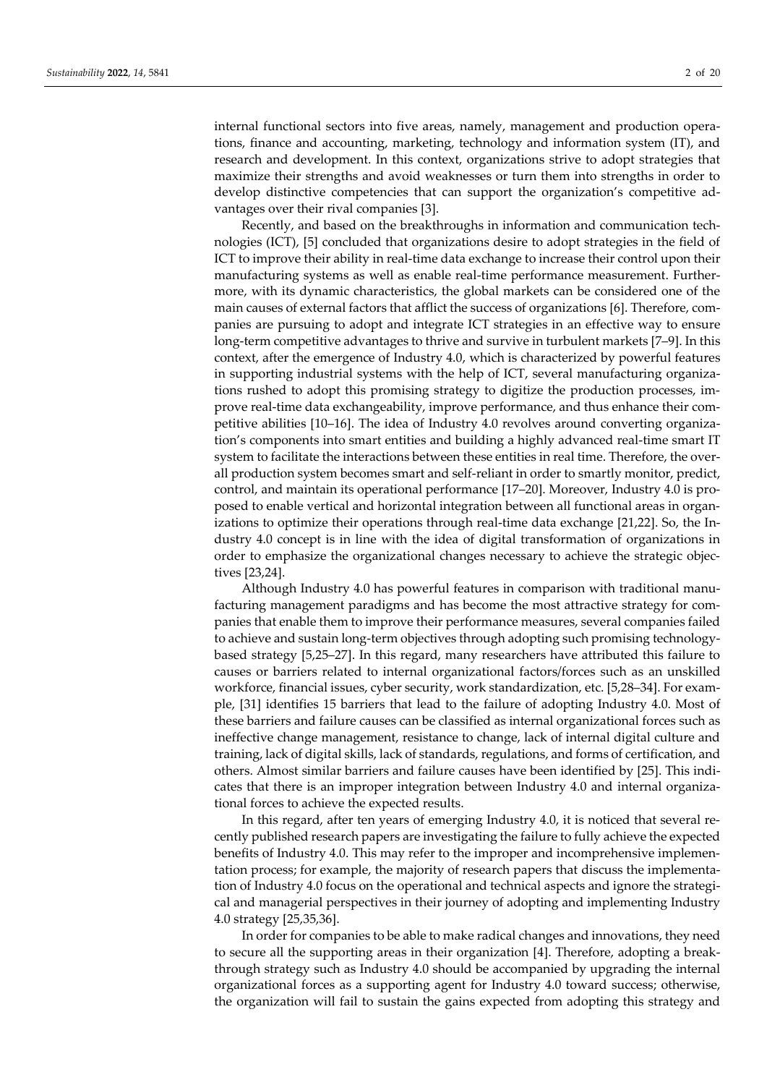internal functional sectors into five areas, namely, management and production operations, finance and accounting, marketing, technology and information system (IT), and research and development. In this context, organizations strive to adopt strategies that maximize their strengths and avoid weaknesses or turn them into strengths in order to develop distinctive competencies that can support the organization's competitive advantages over their rival companies [3].

Recently, and based on the breakthroughs in information and communication technologies (ICT), [5] concluded that organizations desire to adopt strategies in the field of ICT to improve their ability in real-time data exchange to increase their control upon their manufacturing systems as well as enable real-time performance measurement. Furthermore, with its dynamic characteristics, the global markets can be considered one of the main causes of external factors that afflict the success of organizations [6]. Therefore, companies are pursuing to adopt and integrate ICT strategies in an effective way to ensure long-term competitive advantages to thrive and survive in turbulent markets [7–9]. In this context, after the emergence of Industry 4.0, which is characterized by powerful features in supporting industrial systems with the help of ICT, several manufacturing organizations rushed to adopt this promising strategy to digitize the production processes, improve real-time data exchangeability, improve performance, and thus enhance their competitive abilities [10–16]. The idea of Industry 4.0 revolves around converting organization's components into smart entities and building a highly advanced real-time smart IT system to facilitate the interactions between these entities in real time. Therefore, the overall production system becomes smart and self-reliant in order to smartly monitor, predict, control, and maintain its operational performance [17–20]. Moreover, Industry 4.0 is proposed to enable vertical and horizontal integration between all functional areas in organizations to optimize their operations through real-time data exchange [21,22]. So, the Industry 4.0 concept is in line with the idea of digital transformation of organizations in order to emphasize the organizational changes necessary to achieve the strategic objectives [23,24].

Although Industry 4.0 has powerful features in comparison with traditional manufacturing management paradigms and has become the most attractive strategy for companies that enable them to improve their performance measures, several companies failed to achieve and sustain long-term objectives through adopting such promising technologybased strategy [5,25–27]. In this regard, many researchers have attributed this failure to causes or barriers related to internal organizational factors/forces such as an unskilled workforce, financial issues, cyber security, work standardization, etc. [5,28–34]. For example, [31] identifies 15 barriers that lead to the failure of adopting Industry 4.0. Most of these barriers and failure causes can be classified as internal organizational forces such as ineffective change management, resistance to change, lack of internal digital culture and training, lack of digital skills, lack of standards, regulations, and forms of certification, and others. Almost similar barriers and failure causes have been identified by [25]. This indicates that there is an improper integration between Industry 4.0 and internal organizational forces to achieve the expected results.

In this regard, after ten years of emerging Industry 4.0, it is noticed that several recently published research papers are investigating the failure to fully achieve the expected benefits of Industry 4.0. This may refer to the improper and incomprehensive implementation process; for example, the majority of research papers that discuss the implementation of Industry 4.0 focus on the operational and technical aspects and ignore the strategical and managerial perspectives in their journey of adopting and implementing Industry 4.0 strategy [25,35,36].

In order for companies to be able to make radical changes and innovations, they need to secure all the supporting areas in their organization [4]. Therefore, adopting a breakthrough strategy such as Industry 4.0 should be accompanied by upgrading the internal organizational forces as a supporting agent for Industry 4.0 toward success; otherwise, the organization will fail to sustain the gains expected from adopting this strategy and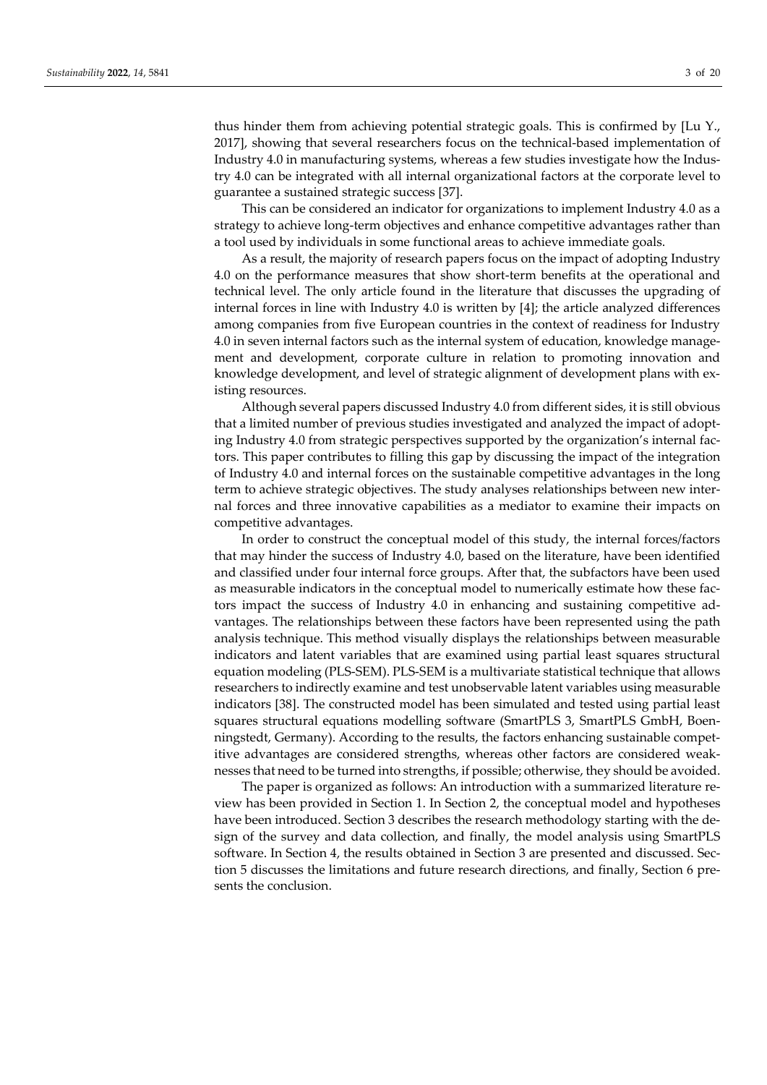thus hinder them from achieving potential strategic goals. This is confirmed by [Lu Y., 2017], showing that several researchers focus on the technical-based implementation of Industry 4.0 in manufacturing systems, whereas a few studies investigate how the Industry 4.0 can be integrated with all internal organizational factors at the corporate level to guarantee a sustained strategic success [37].

This can be considered an indicator for organizations to implement Industry 4.0 as a strategy to achieve long-term objectives and enhance competitive advantages rather than a tool used by individuals in some functional areas to achieve immediate goals.

As a result, the majority of research papers focus on the impact of adopting Industry 4.0 on the performance measures that show short-term benefits at the operational and technical level. The only article found in the literature that discusses the upgrading of internal forces in line with Industry 4.0 is written by [4]; the article analyzed differences among companies from five European countries in the context of readiness for Industry 4.0 in seven internal factors such as the internal system of education, knowledge management and development, corporate culture in relation to promoting innovation and knowledge development, and level of strategic alignment of development plans with existing resources.

Although several papers discussed Industry 4.0 from different sides, it is still obvious that a limited number of previous studies investigated and analyzed the impact of adopting Industry 4.0 from strategic perspectives supported by the organization's internal factors. This paper contributes to filling this gap by discussing the impact of the integration of Industry 4.0 and internal forces on the sustainable competitive advantages in the long term to achieve strategic objectives. The study analyses relationships between new internal forces and three innovative capabilities as a mediator to examine their impacts on competitive advantages.

In order to construct the conceptual model of this study, the internal forces/factors that may hinder the success of Industry 4.0, based on the literature, have been identified and classified under four internal force groups. After that, the subfactors have been used as measurable indicators in the conceptual model to numerically estimate how these factors impact the success of Industry 4.0 in enhancing and sustaining competitive advantages. The relationships between these factors have been represented using the path analysis technique. This method visually displays the relationships between measurable indicators and latent variables that are examined using partial least squares structural equation modeling (PLS-SEM). PLS-SEM is a multivariate statistical technique that allows researchers to indirectly examine and test unobservable latent variables using measurable indicators [38]. The constructed model has been simulated and tested using partial least squares structural equations modelling software (SmartPLS 3, SmartPLS GmbH, Boenningstedt, Germany). According to the results, the factors enhancing sustainable competitive advantages are considered strengths, whereas other factors are considered weaknesses that need to be turned into strengths, if possible; otherwise, they should be avoided.

The paper is organized as follows: An introduction with a summarized literature review has been provided in Section 1. In Section 2, the conceptual model and hypotheses have been introduced. Section 3 describes the research methodology starting with the design of the survey and data collection, and finally, the model analysis using SmartPLS software. In Section 4, the results obtained in Section 3 are presented and discussed. Section 5 discusses the limitations and future research directions, and finally, Section 6 presents the conclusion.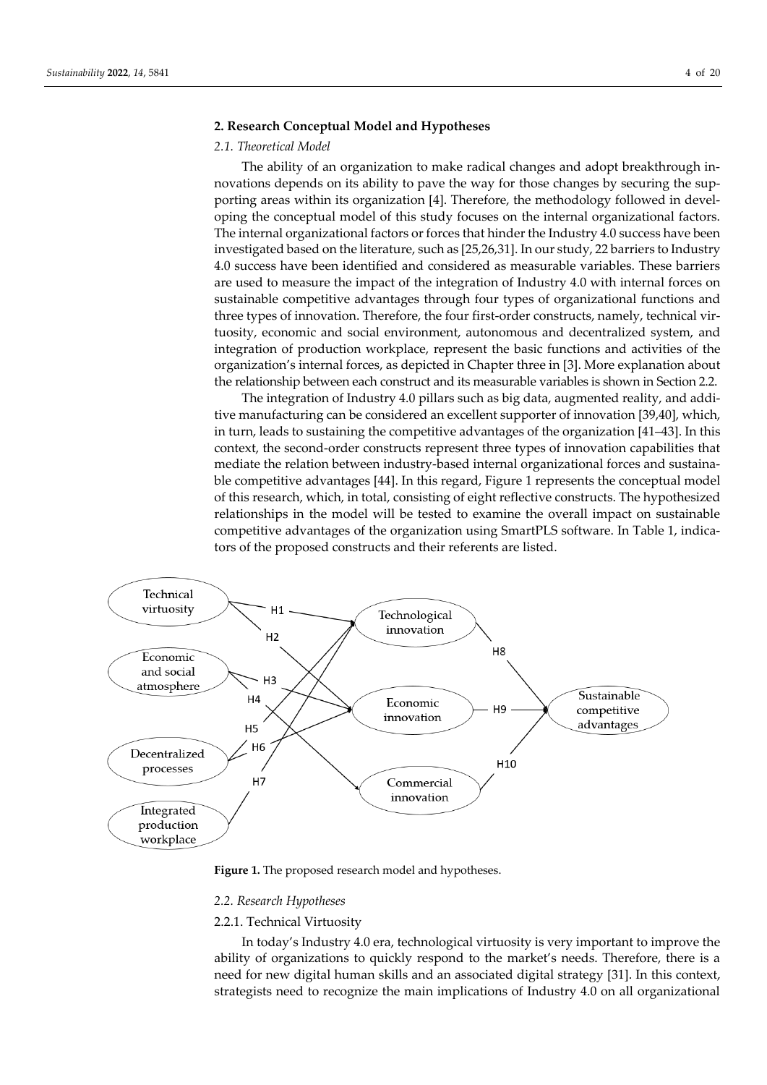## **2. Research Conceptual Model and Hypotheses**

### *2.1. Theoretical Model*

The ability of an organization to make radical changes and adopt breakthrough innovations depends on its ability to pave the way for those changes by securing the supporting areas within its organization [4]. Therefore, the methodology followed in developing the conceptual model of this study focuses on the internal organizational factors. The internal organizational factors or forces that hinder the Industry 4.0 success have been investigated based on the literature, such as [25,26,31]. In our study, 22 barriers to Industry 4.0 success have been identified and considered as measurable variables. These barriers are used to measure the impact of the integration of Industry 4.0 with internal forces on sustainable competitive advantages through four types of organizational functions and three types of innovation. Therefore, the four first-order constructs, namely, technical virtuosity, economic and social environment, autonomous and decentralized system, and integration of production workplace, represent the basic functions and activities of the organization's internal forces, as depicted in Chapter three in [3]. More explanation about the relationship between each construct and its measurable variables is shown in Section 2.2.

The integration of Industry 4.0 pillars such as big data, augmented reality, and additive manufacturing can be considered an excellent supporter of innovation [39,40], which, in turn, leads to sustaining the competitive advantages of the organization [41–43]. In this context, the second-order constructs represent three types of innovation capabilities that mediate the relation between industry-based internal organizational forces and sustainable competitive advantages [44]. In this regard, Figure 1 represents the conceptual model of this research, which, in total, consisting of eight reflective constructs. The hypothesized relationships in the model will be tested to examine the overall impact on sustainable competitive advantages of the organization using SmartPLS software. In Table 1, indicators of the proposed constructs and their referents are listed.



Figure 1. The proposed research model and hypotheses.

#### *2.2. Research Hypotheses*

2.2.1. Technical Virtuosity

In today's Industry 4.0 era, technological virtuosity is very important to improve the ability of organizations to quickly respond to the market's needs. Therefore, there is a need for new digital human skills and an associated digital strategy [31]. In this context, strategists need to recognize the main implications of Industry 4.0 on all organizational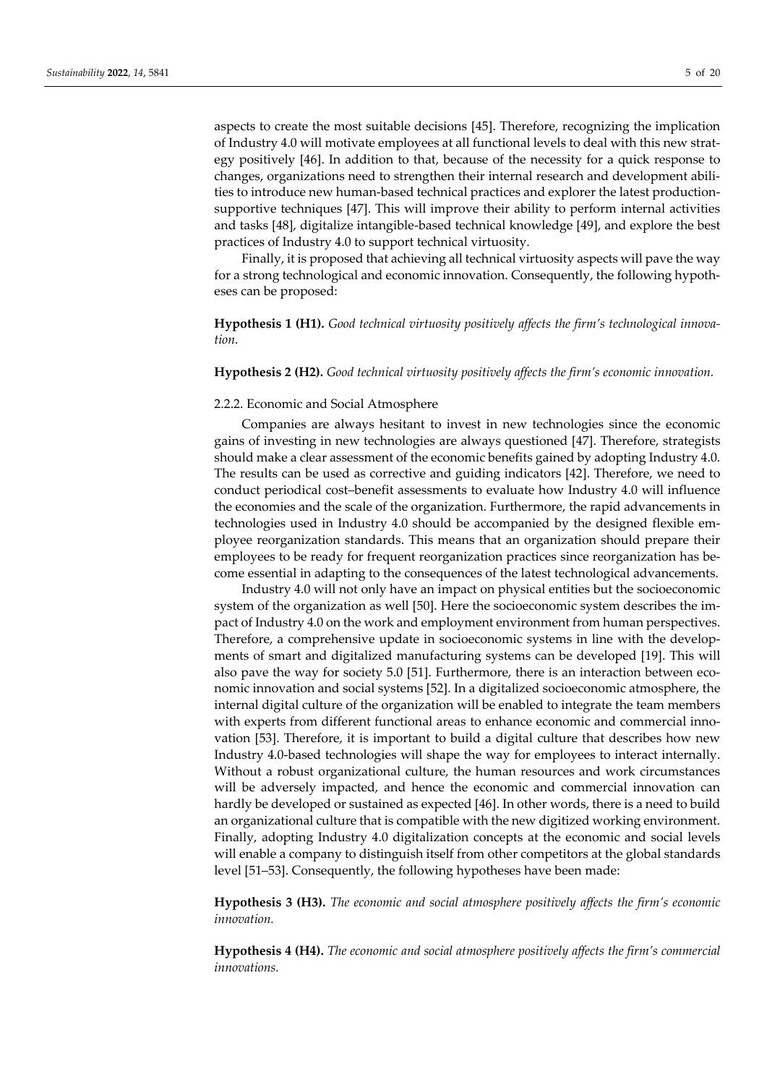aspects to create the most suitable decisions [45]. Therefore, recognizing the implication of Industry 4.0 will motivate employees at all functional levels to deal with this new strategy positively [46]. In addition to that, because of the necessity for a quick response to changes, organizations need to strengthen their internal research and development abilities to introduce new human-based technical practices and explorer the latest productionsupportive techniques [47]. This will improve their ability to perform internal activities and tasks [48], digitalize intangible-based technical knowledge [49], and explore the best practices of Industry 4.0 to support technical virtuosity.

Finally, it is proposed that achieving all technical virtuosity aspects will pave the way for a strong technological and economic innovation. Consequently, the following hypotheses can be proposed:

**Hypothesis 1 (H1).** *Good technical virtuosity positively affects the firm's technological innovation*.

## **Hypothesis 2 (H2).** *Good technical virtuosity positively affects the firm's economic innovation.*

#### 2.2.2. Economic and Social Atmosphere

Companies are always hesitant to invest in new technologies since the economic gains of investing in new technologies are always questioned [47]. Therefore, strategists should make a clear assessment of the economic benefits gained by adopting Industry 4.0. The results can be used as corrective and guiding indicators [42]. Therefore, we need to conduct periodical cost–benefit assessments to evaluate how Industry 4.0 will influence the economies and the scale of the organization. Furthermore, the rapid advancements in technologies used in Industry 4.0 should be accompanied by the designed flexible employee reorganization standards. This means that an organization should prepare their employees to be ready for frequent reorganization practices since reorganization has become essential in adapting to the consequences of the latest technological advancements.

Industry 4.0 will not only have an impact on physical entities but the socioeconomic system of the organization as well [50]. Here the socioeconomic system describes the impact of Industry 4.0 on the work and employment environment from human perspectives. Therefore, a comprehensive update in socioeconomic systems in line with the developments of smart and digitalized manufacturing systems can be developed [19]. This will also pave the way for society 5.0 [51]. Furthermore, there is an interaction between economic innovation and social systems [52]. In a digitalized socioeconomic atmosphere, the internal digital culture of the organization will be enabled to integrate the team members with experts from different functional areas to enhance economic and commercial innovation [53]. Therefore, it is important to build a digital culture that describes how new Industry 4.0-based technologies will shape the way for employees to interact internally. Without a robust organizational culture, the human resources and work circumstances will be adversely impacted, and hence the economic and commercial innovation can hardly be developed or sustained as expected [46]. In other words, there is a need to build an organizational culture that is compatible with the new digitized working environment. Finally, adopting Industry 4.0 digitalization concepts at the economic and social levels will enable a company to distinguish itself from other competitors at the global standards level [51–53]. Consequently, the following hypotheses have been made:

**Hypothesis 3 (H3).** *The economic and social atmosphere positively affects the firm's economic innovation.*

**Hypothesis 4 (H4).** *The economic and social atmosphere positively affects the firm's commercial innovations.*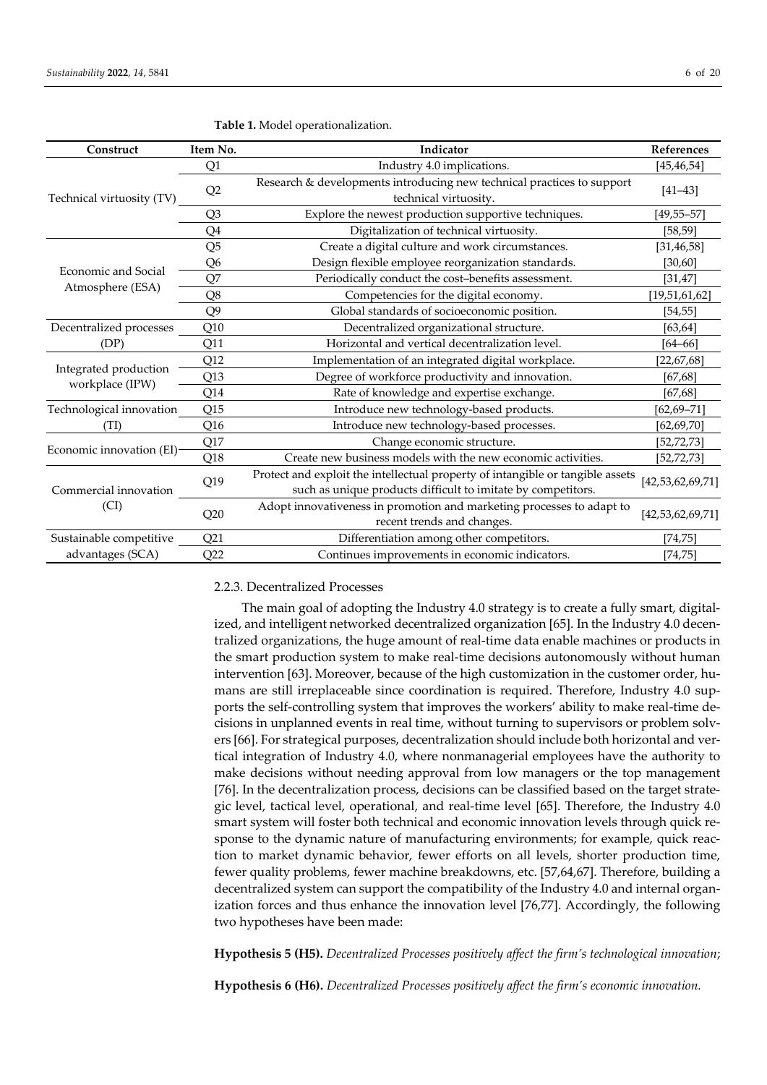| Construct                  | Item No.<br>Indicator |                                                                                                                                                |                      |  |  |
|----------------------------|-----------------------|------------------------------------------------------------------------------------------------------------------------------------------------|----------------------|--|--|
|                            | Q1                    | Industry 4.0 implications.                                                                                                                     | [45, 46, 54]         |  |  |
| Technical virtuosity (TV)  | Q2                    | Research & developments introducing new technical practices to support<br>technical virtuosity.                                                |                      |  |  |
|                            | Q3                    | Explore the newest production supportive techniques.                                                                                           | $[49, 55 - 57]$      |  |  |
|                            | Q4                    | Digitalization of technical virtuosity.                                                                                                        | [58, 59]             |  |  |
|                            | Q <sub>5</sub>        | Create a digital culture and work circumstances.                                                                                               | [31, 46, 58]         |  |  |
|                            | Q6                    | Design flexible employee reorganization standards.                                                                                             | [30,60]              |  |  |
| <b>Economic and Social</b> | Q7                    | Periodically conduct the cost-benefits assessment.                                                                                             | [31, 47]             |  |  |
| Atmosphere (ESA)           | Q8                    | Competencies for the digital economy.                                                                                                          | [19, 51, 61, 62]     |  |  |
|                            | Q <sub>9</sub>        | Global standards of socioeconomic position.                                                                                                    | [54, 55]             |  |  |
| Decentralized processes    | Q10                   | Decentralized organizational structure.                                                                                                        | [63, 64]             |  |  |
| (DP)                       | Q11                   | Horizontal and vertical decentralization level.                                                                                                | $[64 - 66]$          |  |  |
| Integrated production      | Q12                   | Implementation of an integrated digital workplace.                                                                                             | [22,67,68]           |  |  |
|                            | Q13                   | Degree of workforce productivity and innovation.                                                                                               | [67, 68]             |  |  |
| workplace (IPW)            | Q14                   | Rate of knowledge and expertise exchange.                                                                                                      | [67, 68]             |  |  |
| Technological innovation   | Q15                   | Introduce new technology-based products.                                                                                                       | $[62, 69 - 71]$      |  |  |
| (TI)                       | Q <sub>16</sub>       | Introduce new technology-based processes.                                                                                                      | [62, 69, 70]         |  |  |
|                            | Q17                   | Change economic structure.                                                                                                                     | [52, 72, 73]         |  |  |
| Economic innovation (EI)-  | Q18                   | Create new business models with the new economic activities.                                                                                   | [52, 72, 73]         |  |  |
| Commercial innovation      | Q19                   | Protect and exploit the intellectual property of intangible or tangible assets<br>such as unique products difficult to imitate by competitors. | [42, 53, 62, 69, 71] |  |  |
| $\left( \text{CI}\right)$  | Q20                   | Adopt innovativeness in promotion and marketing processes to adapt to<br>recent trends and changes.                                            | [42, 53, 62, 69, 71] |  |  |
| Sustainable competitive    | Q <sub>21</sub>       | Differentiation among other competitors.                                                                                                       | [74, 75]             |  |  |
| advantages (SCA)           | Q22                   | Continues improvements in economic indicators.                                                                                                 | [74, 75]             |  |  |

| Table 1. Model operationalization. |  |
|------------------------------------|--|
|------------------------------------|--|

# 2.2.3. Decentralized Processes

The main goal of adopting the Industry 4.0 strategy is to create a fully smart, digitalized, and intelligent networked decentralized organization [65]. In the Industry 4.0 decentralized organizations, the huge amount of real-time data enable machines or products in the smart production system to make real-time decisions autonomously without human intervention [63]. Moreover, because of the high customization in the customer order, humans are still irreplaceable since coordination is required. Therefore, Industry 4.0 supports the self-controlling system that improves the workers' ability to make real-time decisions in unplanned events in real time, without turning to supervisors or problem solvers [66]. For strategical purposes, decentralization should include both horizontal and vertical integration of Industry 4.0, where nonmanagerial employees have the authority to make decisions without needing approval from low managers or the top management [76]. In the decentralization process, decisions can be classified based on the target strategic level, tactical level, operational, and real-time level [65]. Therefore, the Industry 4.0 smart system will foster both technical and economic innovation levels through quick response to the dynamic nature of manufacturing environments; for example, quick reaction to market dynamic behavior, fewer efforts on all levels, shorter production time, fewer quality problems, fewer machine breakdowns, etc. [57,64,67]. Therefore, building a decentralized system can support the compatibility of the Industry 4.0 and internal organization forces and thus enhance the innovation level [76,77]. Accordingly, the following two hypotheses have been made:

**Hypothesis 5 (H5).** *Decentralized Processes positively affect the firm's technological innovation*;

**Hypothesis 6 (H6).** *Decentralized Processes positively affect the firm's economic innovation.*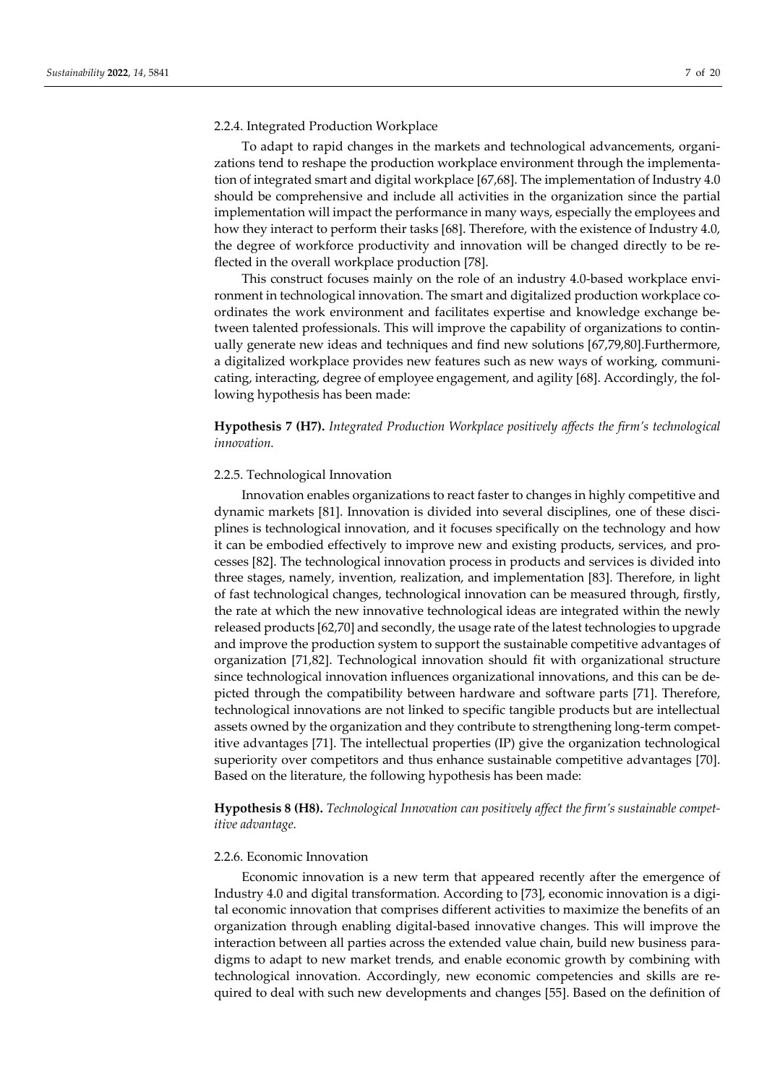#### 2.2.4. Integrated Production Workplace

To adapt to rapid changes in the markets and technological advancements, organizations tend to reshape the production workplace environment through the implementation of integrated smart and digital workplace [67,68]. The implementation of Industry 4.0 should be comprehensive and include all activities in the organization since the partial implementation will impact the performance in many ways, especially the employees and how they interact to perform their tasks [68]. Therefore, with the existence of Industry 4.0, the degree of workforce productivity and innovation will be changed directly to be reflected in the overall workplace production [78].

This construct focuses mainly on the role of an industry 4.0-based workplace environment in technological innovation. The smart and digitalized production workplace coordinates the work environment and facilitates expertise and knowledge exchange between talented professionals. This will improve the capability of organizations to continually generate new ideas and techniques and find new solutions [67,79,80].Furthermore, a digitalized workplace provides new features such as new ways of working, communicating, interacting, degree of employee engagement, and agility [68]. Accordingly, the following hypothesis has been made:

**Hypothesis 7 (H7).** *Integrated Production Workplace positively affects the firm's technological innovation.*

## 2.2.5. Technological Innovation

Innovation enables organizations to react faster to changes in highly competitive and dynamic markets [81]. Innovation is divided into several disciplines, one of these disciplines is technological innovation, and it focuses specifically on the technology and how it can be embodied effectively to improve new and existing products, services, and processes [82]. The technological innovation process in products and services is divided into three stages, namely, invention, realization, and implementation [83]. Therefore, in light of fast technological changes, technological innovation can be measured through, firstly, the rate at which the new innovative technological ideas are integrated within the newly released products [62,70] and secondly, the usage rate of the latest technologies to upgrade and improve the production system to support the sustainable competitive advantages of organization [71,82]. Technological innovation should fit with organizational structure since technological innovation influences organizational innovations, and this can be depicted through the compatibility between hardware and software parts [71]. Therefore, technological innovations are not linked to specific tangible products but are intellectual assets owned by the organization and they contribute to strengthening long-term competitive advantages [71]. The intellectual properties (IP) give the organization technological superiority over competitors and thus enhance sustainable competitive advantages [70]. Based on the literature, the following hypothesis has been made:

**Hypothesis 8 (H8).** *Technological Innovation can positively affect the firm's sustainable competitive advantage.*

## 2.2.6. Economic Innovation

Economic innovation is a new term that appeared recently after the emergence of Industry 4.0 and digital transformation. According to [73], economic innovation is a digital economic innovation that comprises different activities to maximize the benefits of an organization through enabling digital-based innovative changes. This will improve the interaction between all parties across the extended value chain, build new business paradigms to adapt to new market trends, and enable economic growth by combining with technological innovation. Accordingly, new economic competencies and skills are required to deal with such new developments and changes [55]. Based on the definition of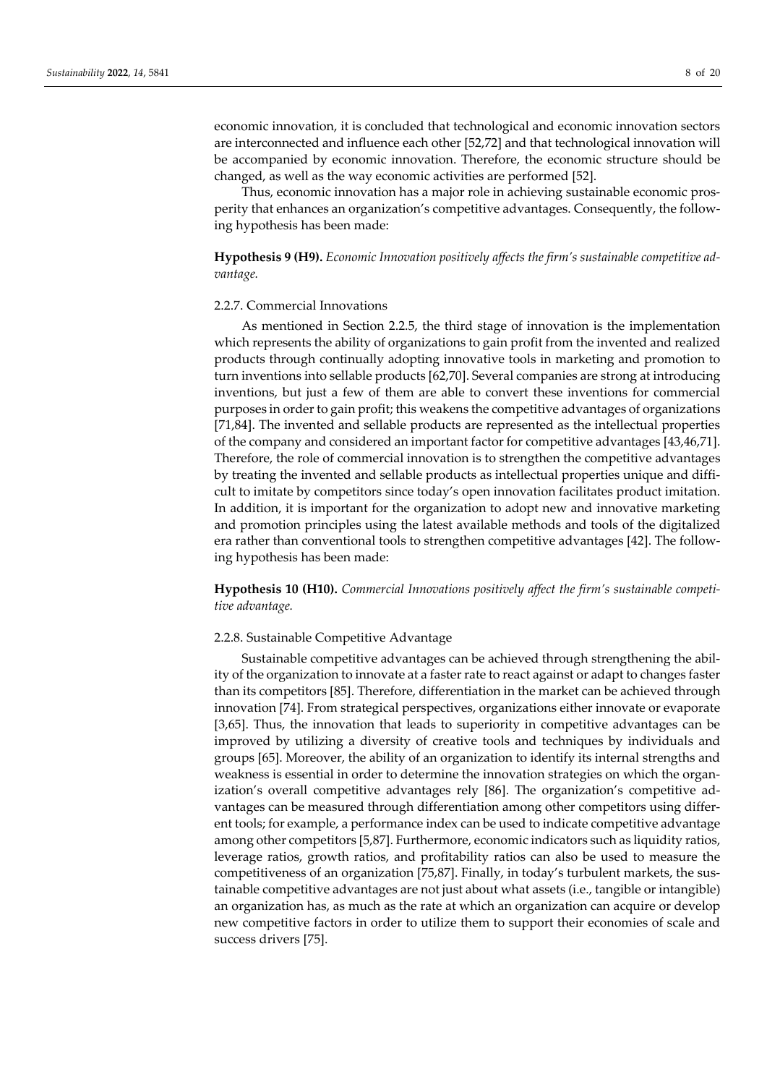economic innovation, it is concluded that technological and economic innovation sectors are interconnected and influence each other [52,72] and that technological innovation will be accompanied by economic innovation. Therefore, the economic structure should be changed, as well as the way economic activities are performed [52].

Thus, economic innovation has a major role in achieving sustainable economic prosperity that enhances an organization's competitive advantages. Consequently, the following hypothesis has been made:

**Hypothesis 9 (H9).** *Economic Innovation positively affects the firm's sustainable competitive advantage.*

#### 2.2.7. Commercial Innovations

As mentioned in Section 2.2.5, the third stage of innovation is the implementation which represents the ability of organizations to gain profit from the invented and realized products through continually adopting innovative tools in marketing and promotion to turn inventions into sellable products [62,70]. Several companies are strong at introducing inventions, but just a few of them are able to convert these inventions for commercial purposes in order to gain profit; this weakens the competitive advantages of organizations [71,84]. The invented and sellable products are represented as the intellectual properties of the company and considered an important factor for competitive advantages [43,46,71]. Therefore, the role of commercial innovation is to strengthen the competitive advantages by treating the invented and sellable products as intellectual properties unique and difficult to imitate by competitors since today's open innovation facilitates product imitation. In addition, it is important for the organization to adopt new and innovative marketing and promotion principles using the latest available methods and tools of the digitalized era rather than conventional tools to strengthen competitive advantages [42]. The following hypothesis has been made:

**Hypothesis 10 (H10).** *Commercial Innovations positively affect the firm's sustainable competitive advantage.*

#### 2.2.8. Sustainable Competitive Advantage

Sustainable competitive advantages can be achieved through strengthening the ability of the organization to innovate at a faster rate to react against or adapt to changes faster than its competitors [85]. Therefore, differentiation in the market can be achieved through innovation [74]. From strategical perspectives, organizations either innovate or evaporate [3,65]. Thus, the innovation that leads to superiority in competitive advantages can be improved by utilizing a diversity of creative tools and techniques by individuals and groups [65]. Moreover, the ability of an organization to identify its internal strengths and weakness is essential in order to determine the innovation strategies on which the organization's overall competitive advantages rely [86]. The organization's competitive advantages can be measured through differentiation among other competitors using different tools; for example, a performance index can be used to indicate competitive advantage among other competitors [5,87]. Furthermore, economic indicators such as liquidity ratios, leverage ratios, growth ratios, and profitability ratios can also be used to measure the competitiveness of an organization [75,87]. Finally, in today's turbulent markets, the sustainable competitive advantages are not just about what assets (i.e., tangible or intangible) an organization has, as much as the rate at which an organization can acquire or develop new competitive factors in order to utilize them to support their economies of scale and success drivers [75].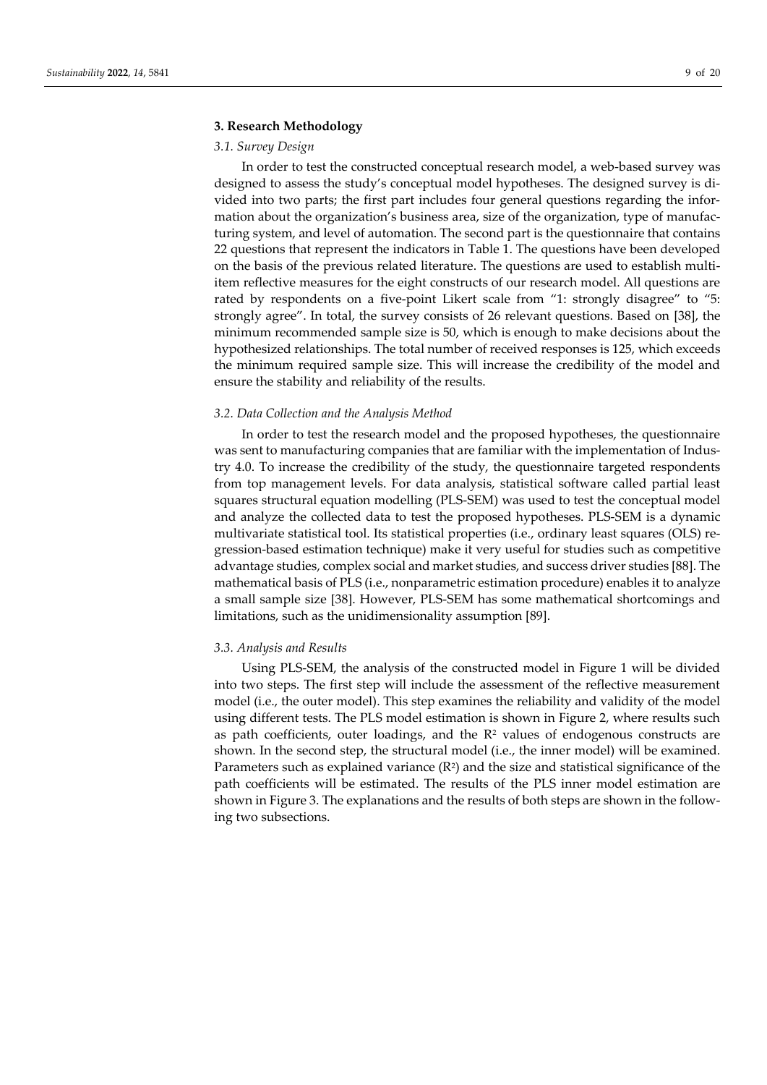## **3. Research Methodology**

## *3.1. Survey Design*

In order to test the constructed conceptual research model, a web-based survey was designed to assess the study's conceptual model hypotheses. The designed survey is divided into two parts; the first part includes four general questions regarding the information about the organization's business area, size of the organization, type of manufacturing system, and level of automation. The second part is the questionnaire that contains 22 questions that represent the indicators in Table 1. The questions have been developed on the basis of the previous related literature. The questions are used to establish multiitem reflective measures for the eight constructs of our research model. All questions are rated by respondents on a five-point Likert scale from "1: strongly disagree" to "5: strongly agree". In total, the survey consists of 26 relevant questions. Based on [38], the minimum recommended sample size is 50, which is enough to make decisions about the hypothesized relationships. The total number of received responses is 125, which exceeds the minimum required sample size. This will increase the credibility of the model and ensure the stability and reliability of the results.

## *3.2. Data Collection and the Analysis Method*

In order to test the research model and the proposed hypotheses, the questionnaire was sent to manufacturing companies that are familiar with the implementation of Industry 4.0. To increase the credibility of the study, the questionnaire targeted respondents from top management levels. For data analysis, statistical software called partial least squares structural equation modelling (PLS-SEM) was used to test the conceptual model and analyze the collected data to test the proposed hypotheses. PLS-SEM is a dynamic multivariate statistical tool. Its statistical properties (i.e., ordinary least squares (OLS) regression-based estimation technique) make it very useful for studies such as competitive advantage studies, complex social and market studies, and success driver studies [88]. The mathematical basis of PLS (i.e., nonparametric estimation procedure) enables it to analyze a small sample size [38]. However, PLS-SEM has some mathematical shortcomings and limitations, such as the unidimensionality assumption [89].

## *3.3. Analysis and Results*

Using PLS-SEM, the analysis of the constructed model in Figure 1 will be divided into two steps. The first step will include the assessment of the reflective measurement model (i.e., the outer model). This step examines the reliability and validity of the model using different tests. The PLS model estimation is shown in Figure 2, where results such as path coefficients, outer loadings, and the  $R<sup>2</sup>$  values of endogenous constructs are shown. In the second step, the structural model (i.e., the inner model) will be examined. Parameters such as explained variance (R<sup>2</sup>) and the size and statistical significance of the path coefficients will be estimated. The results of the PLS inner model estimation are shown in Figure 3. The explanations and the results of both steps are shown in the following two subsections.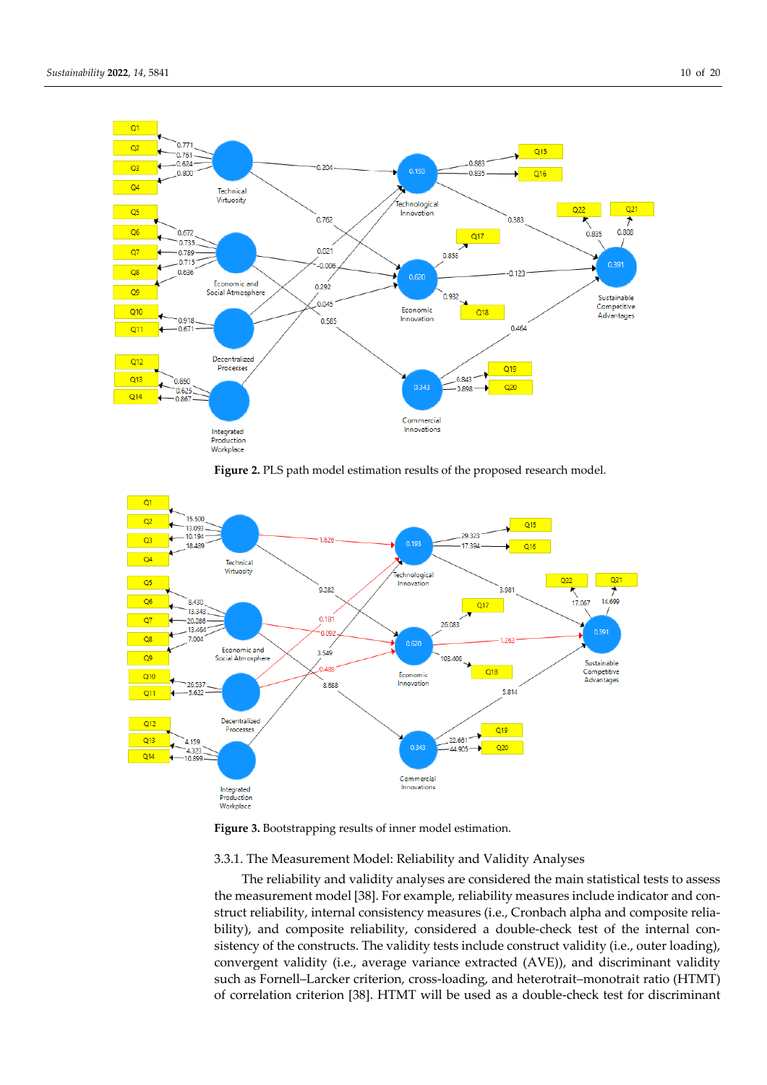

Figure 2. PLS path model estimation results of the proposed research model.





## 3.3.1. The Measurement Model: Reliability and Validity Analyses

The reliability and validity analyses are considered the main statistical tests to assess the measurement model [38]. For example, reliability measures include indicator and construct reliability, internal consistency measures (i.e., Cronbach alpha and composite reliability), and composite reliability, considered a double-check test of the internal consistency of the constructs. The validity tests include construct validity (i.e., outer loading), convergent validity (i.e., average variance extracted (AVE)), and discriminant validity such as Fornell–Larcker criterion, cross-loading, and heterotrait–monotrait ratio (HTMT) of correlation criterion [38]. HTMT will be used as a double-check test for discriminant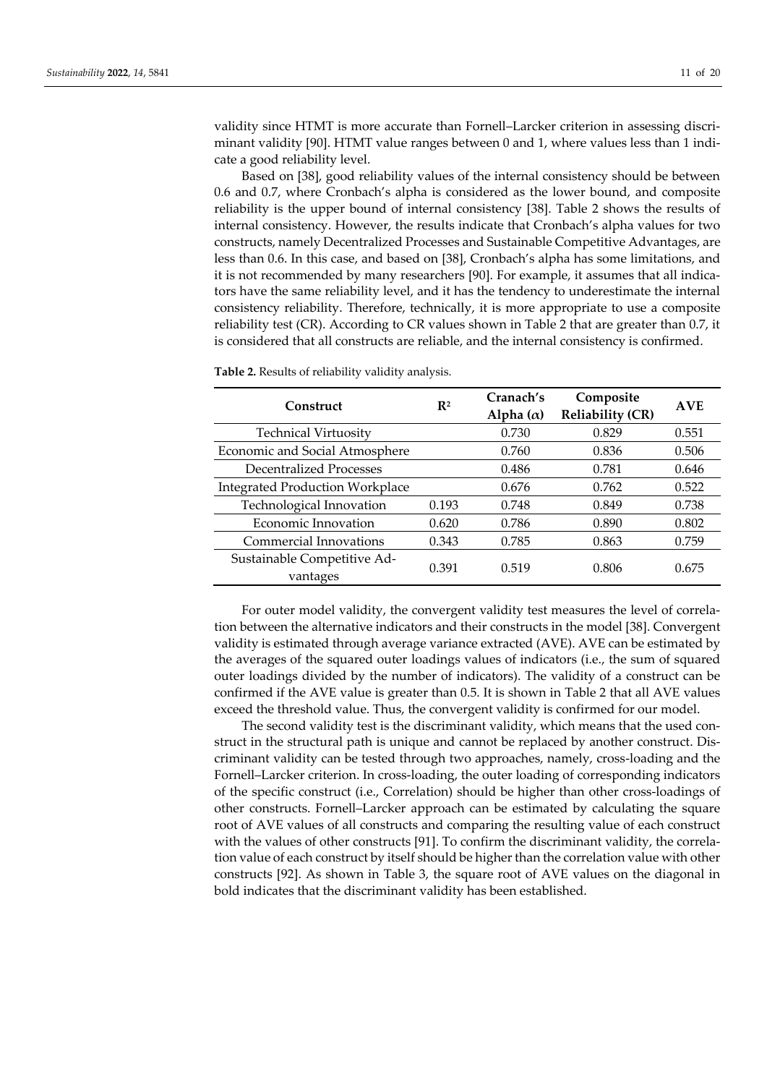validity since HTMT is more accurate than Fornell–Larcker criterion in assessing discriminant validity [90]. HTMT value ranges between 0 and 1, where values less than 1 indicate a good reliability level.

Based on [38], good reliability values of the internal consistency should be between 0.6 and 0.7, where Cronbach's alpha is considered as the lower bound, and composite reliability is the upper bound of internal consistency [38]. Table 2 shows the results of internal consistency. However, the results indicate that Cronbach's alpha values for two constructs, namely Decentralized Processes and Sustainable Competitive Advantages, are less than 0.6. In this case, and based on [38], Cronbach's alpha has some limitations, and it is not recommended by many researchers [90]. For example, it assumes that all indicators have the same reliability level, and it has the tendency to underestimate the internal consistency reliability. Therefore, technically, it is more appropriate to use a composite reliability test (CR). According to CR values shown in Table 2 that are greater than 0.7, it is considered that all constructs are reliable, and the internal consistency is confirmed.

| Construct                               | $\mathbf{R}^2$ | Cranach's<br>Alpha $(\alpha)$ | Composite<br><b>Reliability (CR)</b> | <b>AVE</b> |
|-----------------------------------------|----------------|-------------------------------|--------------------------------------|------------|
| <b>Technical Virtuosity</b>             |                | 0.730                         | 0.829                                | 0.551      |
| Economic and Social Atmosphere          |                | 0.760                         | 0.836                                | 0.506      |
| <b>Decentralized Processes</b>          |                | 0.486                         | 0.781                                | 0.646      |
| <b>Integrated Production Workplace</b>  |                | 0.676                         | 0.762                                | 0.522      |
| Technological Innovation                | 0.193          | 0.748                         | 0.849                                | 0.738      |
| Economic Innovation                     | 0.620          | 0.786                         | 0.890                                | 0.802      |
| Commercial Innovations                  | 0.343          | 0.785                         | 0.863                                | 0.759      |
| Sustainable Competitive Ad-<br>vantages | 0.391          | 0.519                         | 0.806                                | 0.675      |

**Table 2.** Results of reliability validity analysis.

For outer model validity, the convergent validity test measures the level of correlation between the alternative indicators and their constructs in the model [38]. Convergent validity is estimated through average variance extracted (AVE). AVE can be estimated by the averages of the squared outer loadings values of indicators (i.e., the sum of squared outer loadings divided by the number of indicators). The validity of a construct can be confirmed if the AVE value is greater than 0.5. It is shown in Table 2 that all AVE values exceed the threshold value. Thus, the convergent validity is confirmed for our model.

The second validity test is the discriminant validity, which means that the used construct in the structural path is unique and cannot be replaced by another construct. Discriminant validity can be tested through two approaches, namely, cross-loading and the Fornell–Larcker criterion. In cross-loading, the outer loading of corresponding indicators of the specific construct (i.e., Correlation) should be higher than other cross-loadings of other constructs. Fornell–Larcker approach can be estimated by calculating the square root of AVE values of all constructs and comparing the resulting value of each construct with the values of other constructs [91]. To confirm the discriminant validity, the correlation value of each construct by itself should be higher than the correlation value with other constructs [92]. As shown in Table 3, the square root of AVE values on the diagonal in bold indicates that the discriminant validity has been established.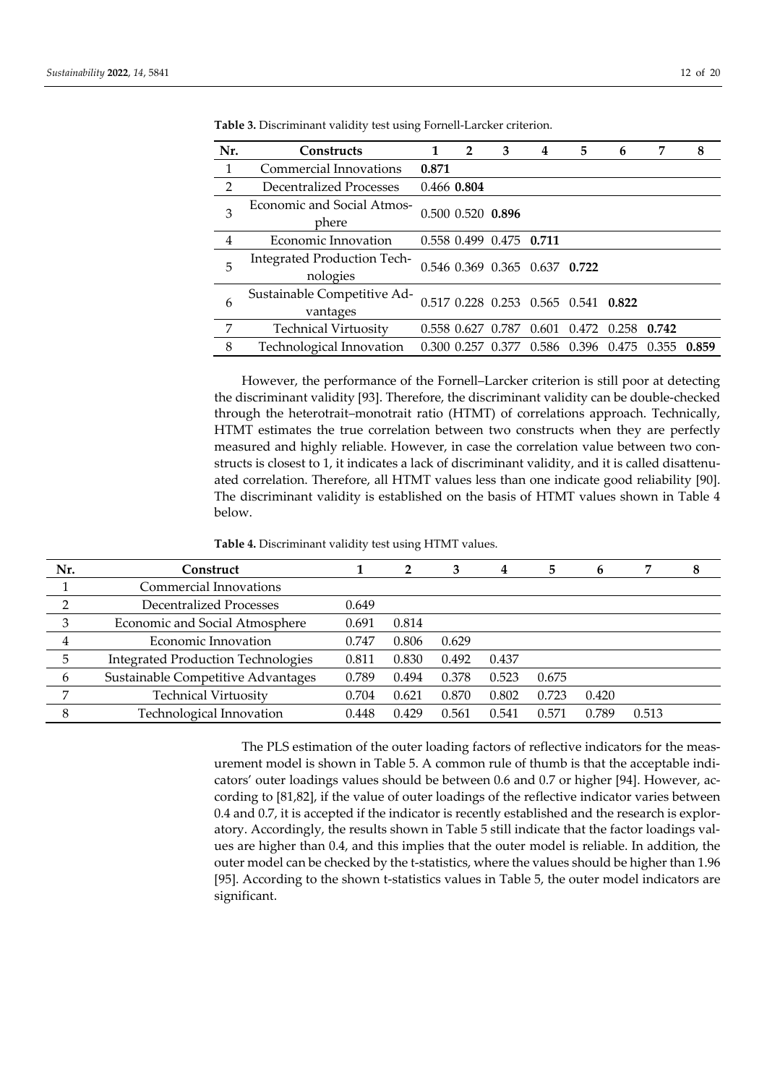| Nr.            | <b>Constructs</b>                              | 1     | $\overline{2}$    | 3                       | 4                             | 5                                   | 6     | 7     | 8     |
|----------------|------------------------------------------------|-------|-------------------|-------------------------|-------------------------------|-------------------------------------|-------|-------|-------|
| 1              | Commercial Innovations                         | 0.871 |                   |                         |                               |                                     |       |       |       |
| $\overline{2}$ | Decentralized Processes                        |       | 0.466 0.804       |                         |                               |                                     |       |       |       |
| 3              | Economic and Social Atmos-<br>phere            |       | 0.500 0.520 0.896 |                         |                               |                                     |       |       |       |
| 4              | Economic Innovation                            |       |                   | 0.558 0.499 0.475 0.711 |                               |                                     |       |       |       |
| 5              | <b>Integrated Production Tech-</b><br>nologies |       |                   |                         | 0.546 0.369 0.365 0.637 0.722 |                                     |       |       |       |
| 6              | Sustainable Competitive Ad-<br>vantages        |       |                   |                         |                               | 0.517 0.228 0.253 0.565 0.541 0.822 |       |       |       |
| 7              | <b>Technical Virtuosity</b>                    |       | 0.558 0.627 0.787 |                         | 0.601                         | 0.472                               | 0.258 | 0.742 |       |
| 8              | Technological Innovation                       |       | 0.300 0.257 0.377 |                         | 0.586                         | 0.396                               | 0.475 | 0.355 | 0.859 |

**Table 3.** Discriminant validity test using Fornell-Larcker criterion.

However, the performance of the Fornell–Larcker criterion is still poor at detecting the discriminant validity [93]. Therefore, the discriminant validity can be double-checked through the heterotrait–monotrait ratio (HTMT) of correlations approach. Technically, HTMT estimates the true correlation between two constructs when they are perfectly measured and highly reliable. However, in case the correlation value between two constructs is closest to 1, it indicates a lack of discriminant validity, and it is called disattenuated correlation. Therefore, all HTMT values less than one indicate good reliability [90]. The discriminant validity is established on the basis of HTMT values shown in Table 4 below.

**Table 4.** Discriminant validity test using HTMT values.

| Nr. | Construct                                 |       | 2     | 3     | 4     | 5     | 6     |       | 8 |
|-----|-------------------------------------------|-------|-------|-------|-------|-------|-------|-------|---|
|     | Commercial Innovations                    |       |       |       |       |       |       |       |   |
|     | Decentralized Processes                   | 0.649 |       |       |       |       |       |       |   |
| 3   | Economic and Social Atmosphere            | 0.691 | 0.814 |       |       |       |       |       |   |
|     | Economic Innovation                       | 0.747 | 0.806 | 0.629 |       |       |       |       |   |
| 5.  | <b>Integrated Production Technologies</b> | 0.811 | 0.830 | 0.492 | 0.437 |       |       |       |   |
| 6   | Sustainable Competitive Advantages        | 0.789 | 0.494 | 0.378 | 0.523 | 0.675 |       |       |   |
|     | <b>Technical Virtuosity</b>               | 0.704 | 0.621 | 0.870 | 0.802 | 0.723 | 0.420 |       |   |
|     | Technological Innovation                  | 0.448 | 0.429 | 0.561 | 0.541 | 0.571 | 0.789 | 0.513 |   |

The PLS estimation of the outer loading factors of reflective indicators for the measurement model is shown in Table 5. A common rule of thumb is that the acceptable indicators' outer loadings values should be between 0.6 and 0.7 or higher [94]. However, according to [81,82], if the value of outer loadings of the reflective indicator varies between 0.4 and 0.7, it is accepted if the indicator is recently established and the research is exploratory. Accordingly, the results shown in Table 5 still indicate that the factor loadings values are higher than 0.4, and this implies that the outer model is reliable. In addition, the outer model can be checked by the t-statistics, where the values should be higher than 1.96 [95]. According to the shown t-statistics values in Table 5, the outer model indicators are significant.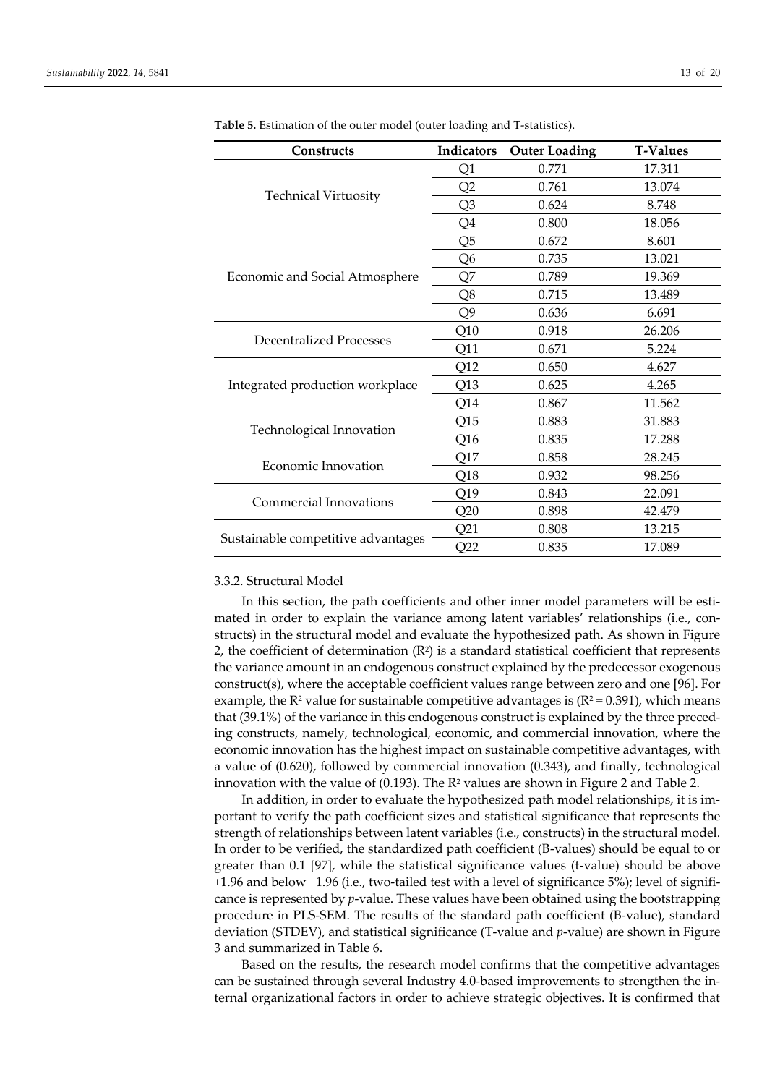| Constructs                         | Indicators      | <b>Outer Loading</b> | <b>T-Values</b> |
|------------------------------------|-----------------|----------------------|-----------------|
|                                    | Q1              | 0.771                | 17.311          |
|                                    | Q2              | 0.761                | 13.074          |
| <b>Technical Virtuosity</b>        | Q <sub>3</sub>  | 0.624                | 8.748           |
|                                    | Q4              | 0.800                | 18.056          |
|                                    | Q <sub>5</sub>  | 0.672                | 8.601           |
|                                    | Q <sub>6</sub>  | 0.735                | 13.021          |
| Economic and Social Atmosphere     | Q7              | 0.789                | 19.369          |
|                                    | Q8              | 0.715                | 13.489          |
|                                    | Q9              | 0.636                | 6.691           |
| Decentralized Processes            | Q10             | 0.918                | 26.206          |
|                                    | Q11             | 0.671                | 5.224           |
|                                    | Q12             | 0.650                | 4.627           |
| Integrated production workplace    | Q13             | 0.625                | 4.265           |
|                                    | Q14             | 0.867                | 11.562          |
|                                    | Q15             | 0.883                | 31.883          |
| Technological Innovation           | Q <sub>16</sub> | 0.835                | 17.288          |
| Economic Innovation                | Q17             | 0.858                | 28.245          |
|                                    | Q18             | 0.932                | 98.256          |
|                                    | Q19             | 0.843                | 22.091          |
| Commercial Innovations             | Q20             | 0.898                | 42.479          |
|                                    | Q21             | 0.808                | 13.215          |
| Sustainable competitive advantages | Q22             | 0.835                | 17.089          |

**Table 5.** Estimation of the outer model (outer loading and T-statistics).

#### 3.3.2. Structural Model

In this section, the path coefficients and other inner model parameters will be estimated in order to explain the variance among latent variables' relationships (i.e., constructs) in the structural model and evaluate the hypothesized path. As shown in Figure 2, the coefficient of determination (R<sup>2</sup> ) is a standard statistical coefficient that represents the variance amount in an endogenous construct explained by the predecessor exogenous construct(s), where the acceptable coefficient values range between zero and one [96]. For example, the R<sup>2</sup> value for sustainable competitive advantages is  $(R^2 = 0.391)$ , which means that (39.1%) of the variance in this endogenous construct is explained by the three preceding constructs, namely, technological, economic, and commercial innovation, where the economic innovation has the highest impact on sustainable competitive advantages, with a value of (0.620), followed by commercial innovation (0.343), and finally, technological innovation with the value of  $(0.193)$ . The R<sup>2</sup> values are shown in Figure 2 and Table 2.

In addition, in order to evaluate the hypothesized path model relationships, it is important to verify the path coefficient sizes and statistical significance that represents the strength of relationships between latent variables (i.e., constructs) in the structural model. In order to be verified, the standardized path coefficient (B-values) should be equal to or greater than 0.1 [97], while the statistical significance values (t-value) should be above +1.96 and below −1.96 (i.e., two-tailed test with a level of significance 5%); level of significance is represented by *p*-value. These values have been obtained using the bootstrapping procedure in PLS-SEM. The results of the standard path coefficient (B-value), standard deviation (STDEV), and statistical significance (T-value and *p*-value) are shown in Figure 3 and summarized in Table 6.

Based on the results, the research model confirms that the competitive advantages can be sustained through several Industry 4.0-based improvements to strengthen the internal organizational factors in order to achieve strategic objectives. It is confirmed that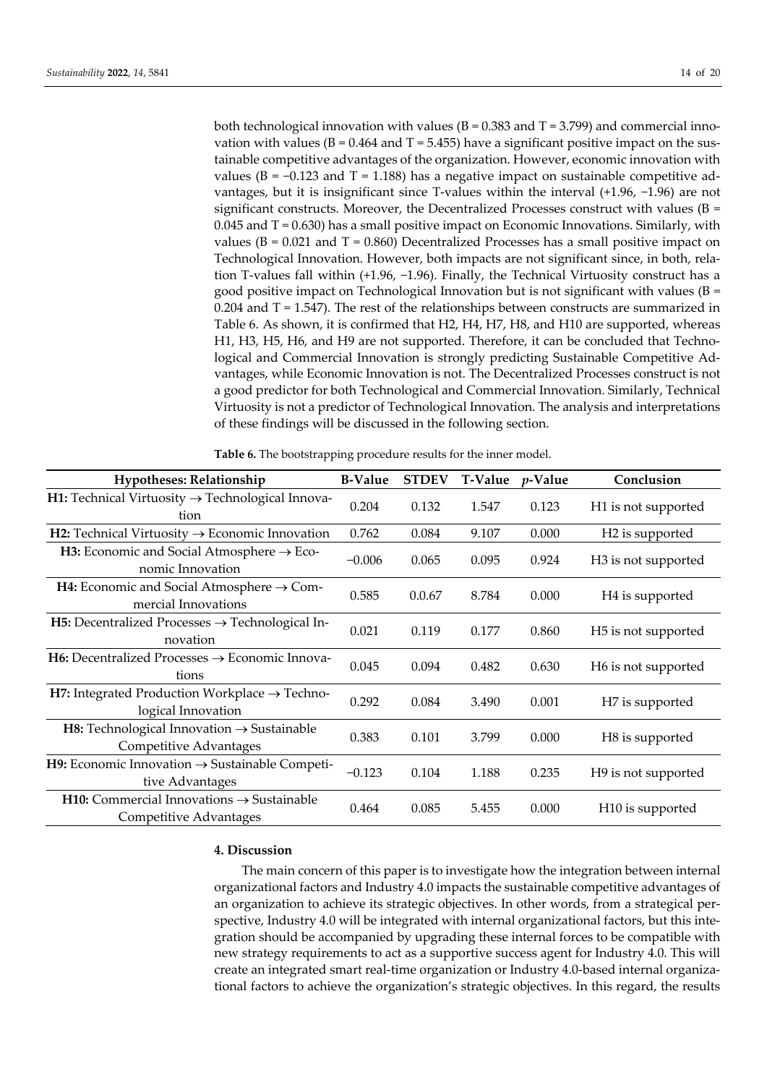both technological innovation with values ( $B = 0.383$  and  $T = 3.799$ ) and commercial innovation with values ( $B = 0.464$  and  $T = 5.455$ ) have a significant positive impact on the sustainable competitive advantages of the organization. However, economic innovation with values (B =  $-0.123$  and T = 1.188) has a negative impact on sustainable competitive advantages, but it is insignificant since T-values within the interval (+1.96, −1.96) are not significant constructs. Moreover, the Decentralized Processes construct with values ( $B =$  $0.045$  and T = 0.630) has a small positive impact on Economic Innovations. Similarly, with values ( $B = 0.021$  and  $T = 0.860$ ) Decentralized Processes has a small positive impact on Technological Innovation. However, both impacts are not significant since, in both, relation T-values fall within (+1.96, −1.96). Finally, the Technical Virtuosity construct has a good positive impact on Technological Innovation but is not significant with values  $(B =$  $0.204$  and T = 1.547). The rest of the relationships between constructs are summarized in Table 6. As shown, it is confirmed that H2, H4, H7, H8, and H10 are supported, whereas H1, H3, H5, H6, and H9 are not supported. Therefore, it can be concluded that Technological and Commercial Innovation is strongly predicting Sustainable Competitive Advantages, while Economic Innovation is not. The Decentralized Processes construct is not a good predictor for both Technological and Commercial Innovation. Similarly, Technical Virtuosity is not a predictor of Technological Innovation. The analysis and interpretations of these findings will be discussed in the following section.

| <b>Hypotheses: Relationship</b>                                                         | <b>B-Value</b> | <b>STDEV</b> | <b>T-Value</b> | $p$ -Value | Conclusion                      |
|-----------------------------------------------------------------------------------------|----------------|--------------|----------------|------------|---------------------------------|
| H1: Technical Virtuosity $\rightarrow$ Technological Innova-<br>tion                    | 0.204          | 0.132        | 1.547          | 0.123      | H <sub>1</sub> is not supported |
| <b>H2:</b> Technical Virtuosity $\rightarrow$ Economic Innovation                       | 0.762          | 0.084        | 9.107          | 0.000      | H <sub>2</sub> is supported     |
| <b>H3:</b> Economic and Social Atmosphere $\rightarrow$ Eco-<br>nomic Innovation        | $-0.006$       | 0.065        | 0.095          | 0.924      | H <sub>3</sub> is not supported |
| H4: Economic and Social Atmosphere $\rightarrow$ Com-<br>mercial Innovations            | 0.585          | 0.0.67       | 8.784          | 0.000      | H <sub>4</sub> is supported     |
| <b>H5:</b> Decentralized Processes $\rightarrow$ Technological In-<br>novation          | 0.021          | 0.119        | 0.177          | 0.860      | H <sub>5</sub> is not supported |
| <b>H6:</b> Decentralized Processes $\rightarrow$ Economic Innova-<br>tions              | 0.045          | 0.094        | 0.482          | 0.630      | H6 is not supported             |
| H7: Integrated Production Workplace $\rightarrow$ Techno-<br>logical Innovation         | 0.292          | 0.084        | 3.490          | 0.001      | H7 is supported                 |
| <b>H8:</b> Technological Innovation $\rightarrow$ Sustainable<br>Competitive Advantages | 0.383          | 0.101        | 3.799          | 0.000      | H8 is supported                 |
| <b>H9:</b> Economic Innovation $\rightarrow$ Sustainable Competi-<br>tive Advantages    | $-0.123$       | 0.104        | 1.188          | 0.235      | H <sub>9</sub> is not supported |
| <b>H10:</b> Commercial Innovations $\rightarrow$ Sustainable<br>Competitive Advantages  | 0.464          | 0.085        | 5.455          | 0.000      | H <sub>10</sub> is supported    |

**Table 6.** The bootstrapping procedure results for the inner model.

#### **4. Discussion**

The main concern of this paper is to investigate how the integration between internal organizational factors and Industry 4.0 impacts the sustainable competitive advantages of an organization to achieve its strategic objectives. In other words, from a strategical perspective, Industry 4.0 will be integrated with internal organizational factors, but this integration should be accompanied by upgrading these internal forces to be compatible with new strategy requirements to act as a supportive success agent for Industry 4.0. This will create an integrated smart real-time organization or Industry 4.0-based internal organizational factors to achieve the organization's strategic objectives. In this regard, the results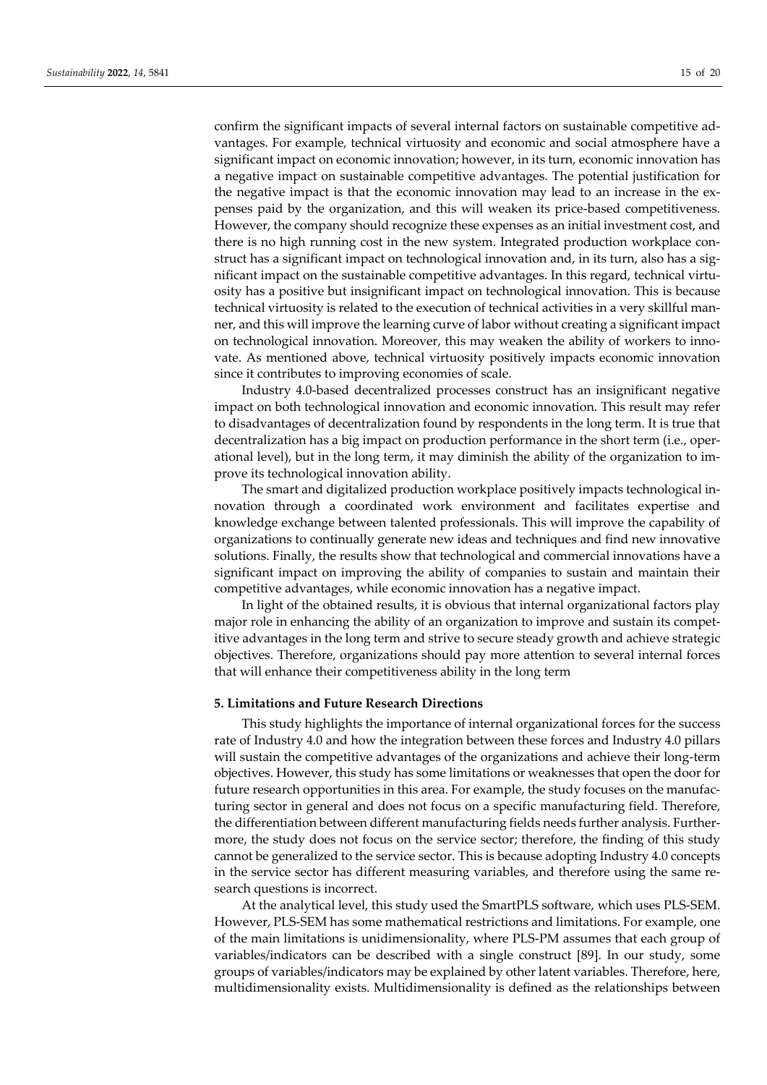confirm the significant impacts of several internal factors on sustainable competitive advantages. For example, technical virtuosity and economic and social atmosphere have a significant impact on economic innovation; however, in its turn, economic innovation has a negative impact on sustainable competitive advantages. The potential justification for the negative impact is that the economic innovation may lead to an increase in the expenses paid by the organization, and this will weaken its price-based competitiveness. However, the company should recognize these expenses as an initial investment cost, and there is no high running cost in the new system. Integrated production workplace construct has a significant impact on technological innovation and, in its turn, also has a significant impact on the sustainable competitive advantages. In this regard, technical virtuosity has a positive but insignificant impact on technological innovation. This is because technical virtuosity is related to the execution of technical activities in a very skillful manner, and this will improve the learning curve of labor without creating a significant impact on technological innovation. Moreover, this may weaken the ability of workers to innovate. As mentioned above, technical virtuosity positively impacts economic innovation since it contributes to improving economies of scale.

Industry 4.0-based decentralized processes construct has an insignificant negative impact on both technological innovation and economic innovation. This result may refer to disadvantages of decentralization found by respondents in the long term. It is true that decentralization has a big impact on production performance in the short term (i.e., operational level), but in the long term, it may diminish the ability of the organization to improve its technological innovation ability.

The smart and digitalized production workplace positively impacts technological innovation through a coordinated work environment and facilitates expertise and knowledge exchange between talented professionals. This will improve the capability of organizations to continually generate new ideas and techniques and find new innovative solutions. Finally, the results show that technological and commercial innovations have a significant impact on improving the ability of companies to sustain and maintain their competitive advantages, while economic innovation has a negative impact.

In light of the obtained results, it is obvious that internal organizational factors play major role in enhancing the ability of an organization to improve and sustain its competitive advantages in the long term and strive to secure steady growth and achieve strategic objectives. Therefore, organizations should pay more attention to several internal forces that will enhance their competitiveness ability in the long term

# **5. Limitations and Future Research Directions**

This study highlights the importance of internal organizational forces for the success rate of Industry 4.0 and how the integration between these forces and Industry 4.0 pillars will sustain the competitive advantages of the organizations and achieve their long-term objectives. However, this study has some limitations or weaknesses that open the door for future research opportunities in this area. For example, the study focuses on the manufacturing sector in general and does not focus on a specific manufacturing field. Therefore, the differentiation between different manufacturing fields needs further analysis. Furthermore, the study does not focus on the service sector; therefore, the finding of this study cannot be generalized to the service sector. This is because adopting Industry 4.0 concepts in the service sector has different measuring variables, and therefore using the same research questions is incorrect.

At the analytical level, this study used the SmartPLS software, which uses PLS-SEM. However, PLS-SEM has some mathematical restrictions and limitations. For example, one of the main limitations is unidimensionality, where PLS-PM assumes that each group of variables/indicators can be described with a single construct [89]. In our study, some groups of variables/indicators may be explained by other latent variables. Therefore, here, multidimensionality exists. Multidimensionality is defined as the relationships between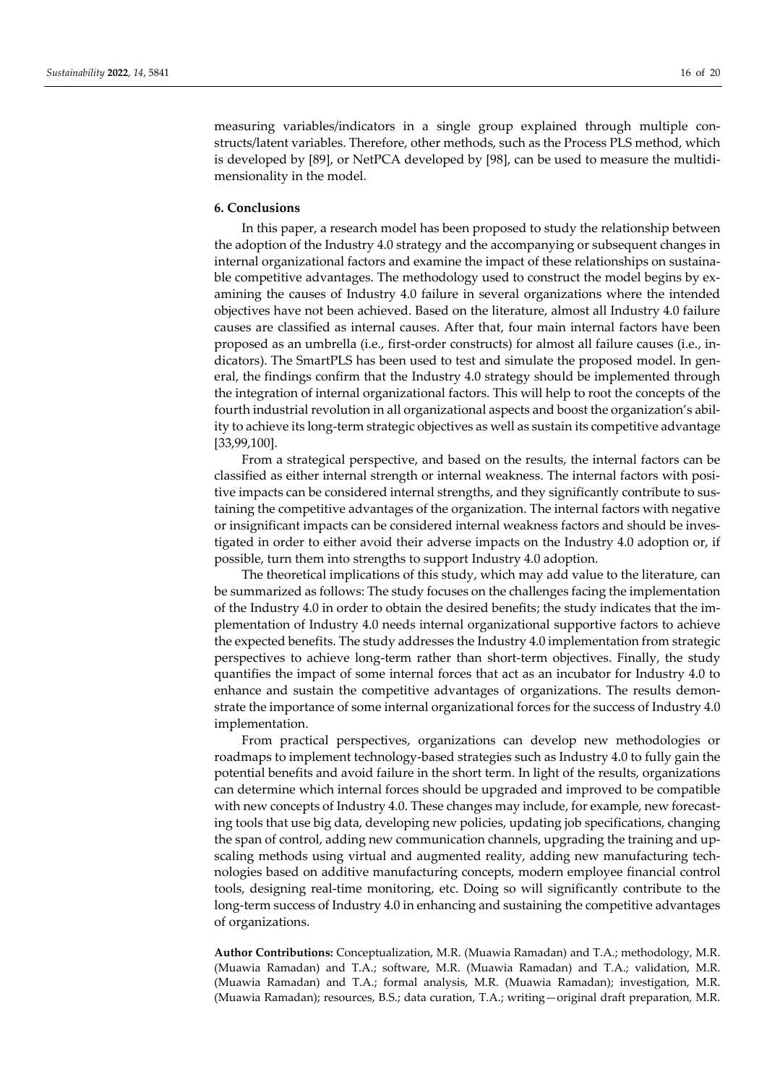measuring variables/indicators in a single group explained through multiple constructs/latent variables. Therefore, other methods, such as the Process PLS method, which is developed by [89], or NetPCA developed by [98], can be used to measure the multidimensionality in the model.

## **6. Conclusions**

In this paper, a research model has been proposed to study the relationship between the adoption of the Industry 4.0 strategy and the accompanying or subsequent changes in internal organizational factors and examine the impact of these relationships on sustainable competitive advantages. The methodology used to construct the model begins by examining the causes of Industry 4.0 failure in several organizations where the intended objectives have not been achieved. Based on the literature, almost all Industry 4.0 failure causes are classified as internal causes. After that, four main internal factors have been proposed as an umbrella (i.e., first-order constructs) for almost all failure causes (i.e., indicators). The SmartPLS has been used to test and simulate the proposed model. In general, the findings confirm that the Industry 4.0 strategy should be implemented through the integration of internal organizational factors. This will help to root the concepts of the fourth industrial revolution in all organizational aspects and boost the organization's ability to achieve its long-term strategic objectives as well as sustain its competitive advantage [33,99,100].

From a strategical perspective, and based on the results, the internal factors can be classified as either internal strength or internal weakness. The internal factors with positive impacts can be considered internal strengths, and they significantly contribute to sustaining the competitive advantages of the organization. The internal factors with negative or insignificant impacts can be considered internal weakness factors and should be investigated in order to either avoid their adverse impacts on the Industry 4.0 adoption or, if possible, turn them into strengths to support Industry 4.0 adoption.

The theoretical implications of this study, which may add value to the literature, can be summarized as follows: The study focuses on the challenges facing the implementation of the Industry 4.0 in order to obtain the desired benefits; the study indicates that the implementation of Industry 4.0 needs internal organizational supportive factors to achieve the expected benefits. The study addresses the Industry 4.0 implementation from strategic perspectives to achieve long-term rather than short-term objectives. Finally, the study quantifies the impact of some internal forces that act as an incubator for Industry 4.0 to enhance and sustain the competitive advantages of organizations. The results demonstrate the importance of some internal organizational forces for the success of Industry 4.0 implementation.

From practical perspectives, organizations can develop new methodologies or roadmaps to implement technology-based strategies such as Industry 4.0 to fully gain the potential benefits and avoid failure in the short term. In light of the results, organizations can determine which internal forces should be upgraded and improved to be compatible with new concepts of Industry 4.0. These changes may include, for example, new forecasting tools that use big data, developing new policies, updating job specifications, changing the span of control, adding new communication channels, upgrading the training and upscaling methods using virtual and augmented reality, adding new manufacturing technologies based on additive manufacturing concepts, modern employee financial control tools, designing real-time monitoring, etc. Doing so will significantly contribute to the long-term success of Industry 4.0 in enhancing and sustaining the competitive advantages of organizations.

**Author Contributions:** Conceptualization, M.R. (Muawia Ramadan) and T.A.; methodology, M.R. (Muawia Ramadan) and T.A.; software, M.R. (Muawia Ramadan) and T.A.; validation, M.R. (Muawia Ramadan) and T.A.; formal analysis, M.R. (Muawia Ramadan); investigation, M.R. (Muawia Ramadan); resources, B.S.; data curation, T.A.; writing—original draft preparation, M.R.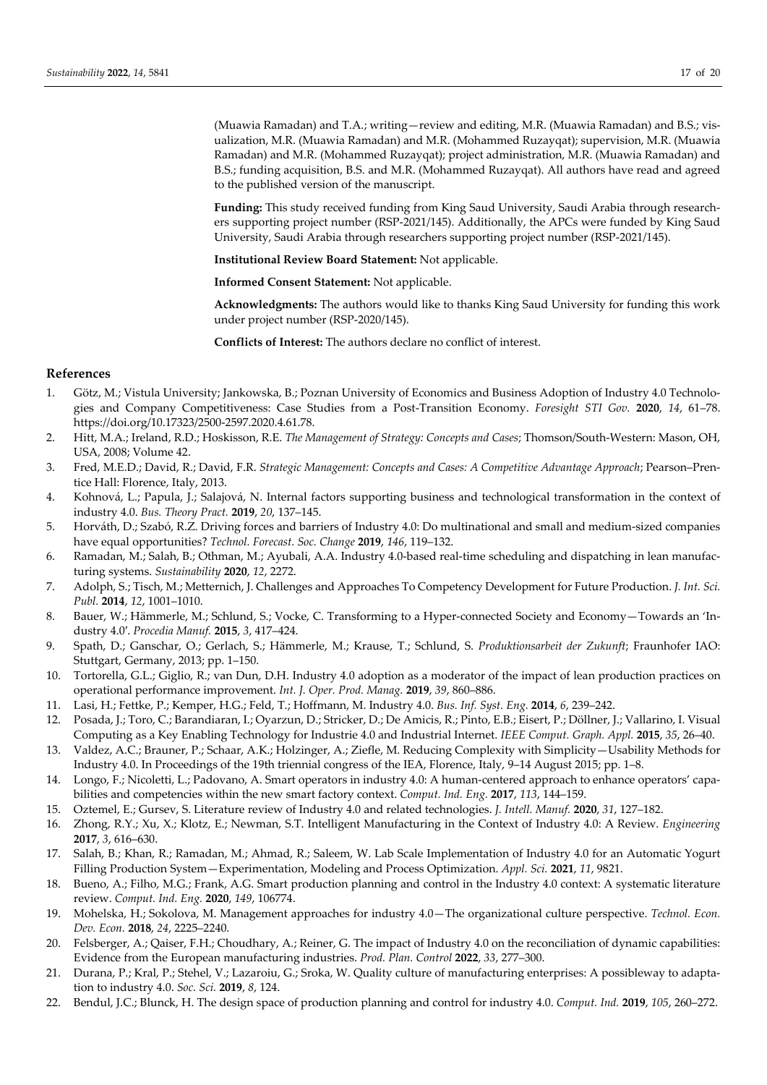(Muawia Ramadan) and T.A.; writing—review and editing, M.R. (Muawia Ramadan) and B.S.; visualization, M.R. (Muawia Ramadan) and M.R. (Mohammed Ruzayqat); supervision, M.R. (Muawia Ramadan) and M.R. (Mohammed Ruzayqat); project administration, M.R. (Muawia Ramadan) and B.S.; funding acquisition, B.S. and M.R. (Mohammed Ruzayqat). All authors have read and agreed to the published version of the manuscript.

**Funding:** This study received funding from King Saud University, Saudi Arabia through researchers supporting project number (RSP-2021/145). Additionally, the APCs were funded by King Saud University, Saudi Arabia through researchers supporting project number (RSP-2021/145).

**Institutional Review Board Statement:** Not applicable.

**Informed Consent Statement:** Not applicable.

**Acknowledgments:** The authors would like to thanks King Saud University for funding this work under project number (RSP-2020/145).

**Conflicts of Interest:** The authors declare no conflict of interest.

# **References**

- 1. Götz, M.; Vistula University; Jankowska, B.; Poznan University of Economics and Business Adoption of Industry 4.0 Technologies and Company Competitiveness: Case Studies from a Post-Transition Economy. *Foresight STI Gov.* **2020**, *14*, 61–78. https://doi.org/10.17323/2500-2597.2020.4.61.78.
- 2. Hitt, M.A.; Ireland, R.D.; Hoskisson, R.E. *The Management of Strategy: Concepts and Cases*; Thomson/South-Western: Mason, OH, USA, 2008; Volume 42.
- 3. Fred, M.E.D.; David, R.; David, F.R. *Strategic Management: Concepts and Cases: A Competitive Advantage Approach*; Pearson–Prentice Hall: Florence, Italy, 2013.
- 4. Kohnová, L.; Papula, J.; Salajová, N. Internal factors supporting business and technological transformation in the context of industry 4.0. *Bus. Theory Pract.* **2019**, *20*, 137–145.
- 5. Horváth, D.; Szabó, R.Z. Driving forces and barriers of Industry 4.0: Do multinational and small and medium-sized companies have equal opportunities? *Technol. Forecast. Soc. Change* **2019**, *146*, 119–132.
- 6. Ramadan, M.; Salah, B.; Othman, M.; Ayubali, A.A. Industry 4.0-based real-time scheduling and dispatching in lean manufacturing systems. *Sustainability* **2020**, *12*, 2272.
- 7. Adolph, S.; Tisch, M.; Metternich, J. Challenges and Approaches To Competency Development for Future Production. *J. Int. Sci. Publ.* **2014**, *12*, 1001–1010.
- 8. Bauer, W.; Hämmerle, M.; Schlund, S.; Vocke, C. Transforming to a Hyper-connected Society and Economy—Towards an 'Industry 4.0′. *Procedia Manuf.* **2015**, *3*, 417–424.
- 9. Spath, D.; Ganschar, O.; Gerlach, S.; Hämmerle, M.; Krause, T.; Schlund, S. *Produktionsarbeit der Zukunft*; Fraunhofer IAO: Stuttgart, Germany, 2013; pp. 1–150.
- 10. Tortorella, G.L.; Giglio, R.; van Dun, D.H. Industry 4.0 adoption as a moderator of the impact of lean production practices on operational performance improvement. *Int. J. Oper. Prod. Manag.* **2019**, *39*, 860–886.
- 11. Lasi, H.; Fettke, P.; Kemper, H.G.; Feld, T.; Hoffmann, M. Industry 4.0. *Bus. Inf. Syst. Eng.* **2014**, *6*, 239–242.
- 12. Posada, J.; Toro, C.; Barandiaran, I.; Oyarzun, D.; Stricker, D.; De Amicis, R.; Pinto, E.B.; Eisert, P.; Döllner, J.; Vallarino, I. Visual Computing as a Key Enabling Technology for Industrie 4.0 and Industrial Internet. *IEEE Comput. Graph. Appl.* **2015**, *35*, 26–40.
- 13. Valdez, A.C.; Brauner, P.; Schaar, A.K.; Holzinger, A.; Ziefle, M. Reducing Complexity with Simplicity—Usability Methods for Industry 4.0. In Proceedings of the 19th triennial congress of the IEA, Florence, Italy, 9–14 August 2015; pp. 1–8.
- 14. Longo, F.; Nicoletti, L.; Padovano, A. Smart operators in industry 4.0: A human-centered approach to enhance operators' capabilities and competencies within the new smart factory context. *Comput. Ind. Eng.* **2017**, *113*, 144–159.
- 15. Oztemel, E.; Gursev, S. Literature review of Industry 4.0 and related technologies. *J. Intell. Manuf.* **2020**, *31*, 127–182.
- 16. Zhong, R.Y.; Xu, X.; Klotz, E.; Newman, S.T. Intelligent Manufacturing in the Context of Industry 4.0: A Review. *Engineering* **2017**, *3*, 616–630.
- 17. Salah, B.; Khan, R.; Ramadan, M.; Ahmad, R.; Saleem, W. Lab Scale Implementation of Industry 4.0 for an Automatic Yogurt Filling Production System—Experimentation, Modeling and Process Optimization. *Appl. Sci.* **2021**, *11*, 9821.
- 18. Bueno, A.; Filho, M.G.; Frank, A.G. Smart production planning and control in the Industry 4.0 context: A systematic literature review. *Comput. Ind. Eng.* **2020**, *149*, 106774.
- 19. Mohelska, H.; Sokolova, M. Management approaches for industry 4.0—The organizational culture perspective. *Technol. Econ. Dev. Econ.* **2018**, *24*, 2225–2240.
- 20. Felsberger, A.; Qaiser, F.H.; Choudhary, A.; Reiner, G. The impact of Industry 4.0 on the reconciliation of dynamic capabilities: Evidence from the European manufacturing industries. *Prod. Plan. Control* **2022**, *33*, 277–300.
- 21. Durana, P.; Kral, P.; Stehel, V.; Lazaroiu, G.; Sroka, W. Quality culture of manufacturing enterprises: A possibleway to adaptation to industry 4.0. *Soc. Sci.* **2019**, *8*, 124.
- 22. Bendul, J.C.; Blunck, H. The design space of production planning and control for industry 4.0. *Comput. Ind.* **2019**, *105*, 260–272.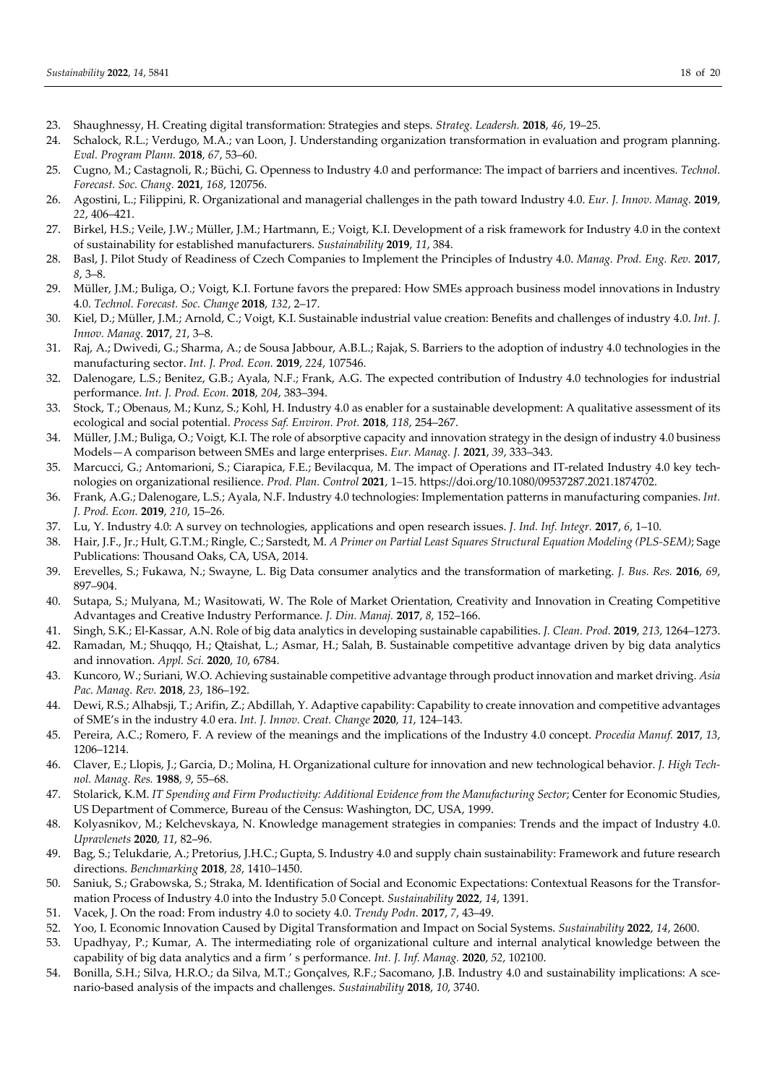- 23. Shaughnessy, H. Creating digital transformation: Strategies and steps. *Strateg. Leadersh.* **2018**, *46*, 19–25.
- 24. Schalock, R.L.; Verdugo, M.A.; van Loon, J. Understanding organization transformation in evaluation and program planning. *Eval. Program Plann.* **2018**, *67*, 53–60.
- 25. Cugno, M.; Castagnoli, R.; Büchi, G. Openness to Industry 4.0 and performance: The impact of barriers and incentives. *Technol. Forecast. Soc. Chang.* **2021**, *168*, 120756.
- 26. Agostini, L.; Filippini, R. Organizational and managerial challenges in the path toward Industry 4.0. *Eur. J. Innov. Manag.* **2019**, *22*, 406–421.
- 27. Birkel, H.S.; Veile, J.W.; Müller, J.M.; Hartmann, E.; Voigt, K.I. Development of a risk framework for Industry 4.0 in the context of sustainability for established manufacturers. *Sustainability* **2019**, *11*, 384.
- 28. Basl, J. Pilot Study of Readiness of Czech Companies to Implement the Principles of Industry 4.0. *Manag. Prod. Eng. Rev.* **2017**, *8*, 3–8.
- 29. Müller, J.M.; Buliga, O.; Voigt, K.I. Fortune favors the prepared: How SMEs approach business model innovations in Industry 4.0. *Technol. Forecast. Soc. Change* **2018**, *132*, 2–17.
- 30. Kiel, D.; Müller, J.M.; Arnold, C.; Voigt, K.I. Sustainable industrial value creation: Benefits and challenges of industry 4.0. *Int. J. Innov. Manag.* **2017**, *21*, 3–8.
- 31. Raj, A.; Dwivedi, G.; Sharma, A.; de Sousa Jabbour, A.B.L.; Rajak, S. Barriers to the adoption of industry 4.0 technologies in the manufacturing sector. *Int. J. Prod. Econ.* **2019**, *224*, 107546.
- 32. Dalenogare, L.S.; Benitez, G.B.; Ayala, N.F.; Frank, A.G. The expected contribution of Industry 4.0 technologies for industrial performance. *Int. J. Prod. Econ.* **2018**, *204*, 383–394.
- 33. Stock, T.; Obenaus, M.; Kunz, S.; Kohl, H. Industry 4.0 as enabler for a sustainable development: A qualitative assessment of its ecological and social potential. *Process Saf. Environ. Prot.* **2018**, *118*, 254–267.
- 34. Müller, J.M.; Buliga, O.; Voigt, K.I. The role of absorptive capacity and innovation strategy in the design of industry 4.0 business Models—A comparison between SMEs and large enterprises. *Eur. Manag. J.* **2021**, *39*, 333–343.
- 35. Marcucci, G.; Antomarioni, S.; Ciarapica, F.E.; Bevilacqua, M. The impact of Operations and IT-related Industry 4.0 key technologies on organizational resilience. *Prod. Plan. Control* **2021**, 1–15. https://doi.org/10.1080/09537287.2021.1874702.
- 36. Frank, A.G.; Dalenogare, L.S.; Ayala, N.F. Industry 4.0 technologies: Implementation patterns in manufacturing companies. *Int. J. Prod. Econ.* **2019**, *210*, 15–26.
- 37. Lu, Y. Industry 4.0: A survey on technologies, applications and open research issues. *J. Ind. Inf. Integr.* **2017**, *6*, 1–10.
- 38. Hair, J.F., Jr.; Hult, G.T.M.; Ringle, C.; Sarstedt, M. *A Primer on Partial Least Squares Structural Equation Modeling (PLS-SEM)*; Sage Publications: Thousand Oaks, CA, USA, 2014.
- 39. Erevelles, S.; Fukawa, N.; Swayne, L. Big Data consumer analytics and the transformation of marketing. *J. Bus. Res.* **2016**, *69*, 897–904.
- 40. Sutapa, S.; Mulyana, M.; Wasitowati, W. The Role of Market Orientation, Creativity and Innovation in Creating Competitive Advantages and Creative Industry Performance. *J. Din. Manaj.* **2017**, *8*, 152–166.
- 41. Singh, S.K.; El-Kassar, A.N. Role of big data analytics in developing sustainable capabilities. *J. Clean. Prod.* **2019**, *213*, 1264–1273.
- 42. Ramadan, M.; Shuqqo, H.; Qtaishat, L.; Asmar, H.; Salah, B. Sustainable competitive advantage driven by big data analytics and innovation. *Appl. Sci.* **2020**, *10*, 6784.
- 43. Kuncoro, W.; Suriani, W.O. Achieving sustainable competitive advantage through product innovation and market driving. *Asia Pac. Manag. Rev.* **2018**, *23*, 186–192.
- 44. Dewi, R.S.; Alhabsji, T.; Arifin, Z.; Abdillah, Y. Adaptive capability: Capability to create innovation and competitive advantages of SME's in the industry 4.0 era. *Int. J. Innov. Creat. Change* **2020**, *11*, 124–143.
- 45. Pereira, A.C.; Romero, F. A review of the meanings and the implications of the Industry 4.0 concept. *Procedia Manuf.* **2017**, *13*, 1206–1214.
- 46. Claver, E.; Llopis, J.; Garcia, D.; Molina, H. Organizational culture for innovation and new technological behavior. *J. High Technol. Manag. Res.* **1988**, *9*, 55–68.
- 47. Stolarick, K.M. *IT Spending and Firm Productivity: Additional Evidence from the Manufacturing Sector*; Center for Economic Studies, US Department of Commerce, Bureau of the Census: Washington, DC, USA, 1999.
- 48. Kolyasnikov, M.; Kelchevskaya, N. Knowledge management strategies in companies: Trends and the impact of Industry 4.0. *Upravlenets* **2020**, *11*, 82–96.
- 49. Bag, S.; Telukdarie, A.; Pretorius, J.H.C.; Gupta, S. Industry 4.0 and supply chain sustainability: Framework and future research directions. *Benchmarking* **2018**, *28*, 1410–1450.
- 50. Saniuk, S.; Grabowska, S.; Straka, M. Identification of Social and Economic Expectations: Contextual Reasons for the Transformation Process of Industry 4.0 into the Industry 5.0 Concept. *Sustainability* **2022**, *14*, 1391.
- 51. Vacek, J. On the road: From industry 4.0 to society 4.0. *Trendy Podn.* **2017**, *7*, 43–49.
- 52. Yoo, I. Economic Innovation Caused by Digital Transformation and Impact on Social Systems. *Sustainability* **2022**, *14*, 2600.
- 53. Upadhyay, P.; Kumar, A. The intermediating role of organizational culture and internal analytical knowledge between the capability of big data analytics and a firm ' s performance. *Int. J. Inf. Manag.* **2020**, *52*, 102100.
- 54. Bonilla, S.H.; Silva, H.R.O.; da Silva, M.T.; Gonçalves, R.F.; Sacomano, J.B. Industry 4.0 and sustainability implications: A scenario-based analysis of the impacts and challenges. *Sustainability* **2018**, *10*, 3740.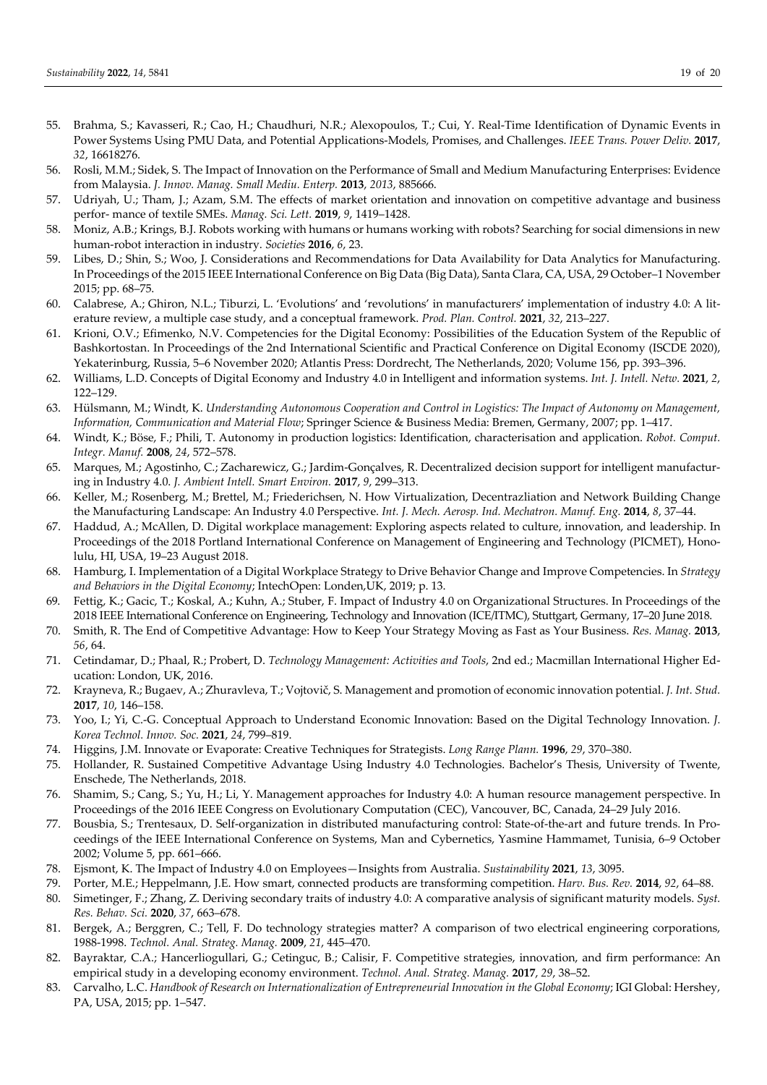- 55. Brahma, S.; Kavasseri, R.; Cao, H.; Chaudhuri, N.R.; Alexopoulos, T.; Cui, Y. Real-Time Identification of Dynamic Events in Power Systems Using PMU Data, and Potential Applications-Models, Promises, and Challenges. *IEEE Trans. Power Deliv.* **2017**, *32*, 16618276.
- 56. Rosli, M.M.; Sidek, S. The Impact of Innovation on the Performance of Small and Medium Manufacturing Enterprises: Evidence from Malaysia. *J. Innov. Manag. Small Mediu. Enterp.* **2013**, *2013*, 885666.
- 57. Udriyah, U.; Tham, J.; Azam, S.M. The effects of market orientation and innovation on competitive advantage and business perfor- mance of textile SMEs. *Manag. Sci. Lett.* **2019**, *9*, 1419–1428.
- 58. Moniz, A.B.; Krings, B.J. Robots working with humans or humans working with robots? Searching for social dimensions in new human-robot interaction in industry. *Societies* **2016**, *6*, 23.
- 59. Libes, D.; Shin, S.; Woo, J. Considerations and Recommendations for Data Availability for Data Analytics for Manufacturing. In Proceedings of the 2015 IEEE International Conference on Big Data (Big Data), Santa Clara, CA, USA, 29 October–1 November 2015; pp. 68–75.
- 60. Calabrese, A.; Ghiron, N.L.; Tiburzi, L. 'Evolutions' and 'revolutions' in manufacturers' implementation of industry 4.0: A literature review, a multiple case study, and a conceptual framework. *Prod. Plan. Control.* **2021**, *32*, 213–227.
- 61. Krioni, O.V.; Efimenko, N.V. Competencies for the Digital Economy: Possibilities of the Education System of the Republic of Bashkortostan. In Proceedings of the 2nd International Scientific and Practical Conference on Digital Economy (ISCDE 2020), Yekaterinburg, Russia, 5–6 November 2020; Atlantis Press: Dordrecht, The Netherlands, 2020; Volume 156, pp. 393–396.
- 62. Williams, L.D. Concepts of Digital Economy and Industry 4.0 in Intelligent and information systems. *Int. J. Intell. Netw.* **2021**, *2*, 122–129.
- 63. Hülsmann, M.; Windt, K. *Understanding Autonomous Cooperation and Control in Logistics: The Impact of Autonomy on Management, Information, Communication and Material Flow*; Springer Science & Business Media: Bremen, Germany, 2007; pp. 1–417.
- 64. Windt, K.; Böse, F.; Phili, T. Autonomy in production logistics: Identification, characterisation and application. *Robot. Comput. Integr. Manuf.* **2008**, *24*, 572–578.
- 65. Marques, M.; Agostinho, C.; Zacharewicz, G.; Jardim-Gonçalves, R. Decentralized decision support for intelligent manufacturing in Industry 4.0. *J. Ambient Intell. Smart Environ.* **2017**, *9*, 299–313.
- 66. Keller, M.; Rosenberg, M.; Brettel, M.; Friederichsen, N. How Virtualization, Decentrazliation and Network Building Change the Manufacturing Landscape: An Industry 4.0 Perspective. *Int. J. Mech. Aerosp. Ind. Mechatron. Manuf. Eng.* **2014**, *8*, 37–44.
- 67. Haddud, A.; McAllen, D. Digital workplace management: Exploring aspects related to culture, innovation, and leadership. In Proceedings of the 2018 Portland International Conference on Management of Engineering and Technology (PICMET), Honolulu, HI, USA, 19–23 August 2018.
- 68. Hamburg, I. Implementation of a Digital Workplace Strategy to Drive Behavior Change and Improve Competencies. In *Strategy and Behaviors in the Digital Economy*; IntechOpen: Londen,UK, 2019; p. 13.
- 69. Fettig, K.; Gacic, T.; Koskal, A.; Kuhn, A.; Stuber, F. Impact of Industry 4.0 on Organizational Structures. In Proceedings of the 2018 IEEE International Conference on Engineering, Technology and Innovation (ICE/ITMC), Stuttgart, Germany, 17–20 June 2018.
- 70. Smith, R. The End of Competitive Advantage: How to Keep Your Strategy Moving as Fast as Your Business. *Res. Manag.* **2013**, *56*, 64.
- 71. Cetindamar, D.; Phaal, R.; Probert, D. *Technology Management: Activities and Tools*, 2nd ed.; Macmillan International Higher Education: London, UK, 2016.
- 72. Кrayneva, R.; Bugaev, A.; Zhuravleva, T.; Vojtovič, S. Management and promotion of economic innovation potential. *J. Int. Stud.*  **2017**, *10*, 146–158.
- 73. Yoo, I.; Yi, C.-G. Conceptual Approach to Understand Economic Innovation: Based on the Digital Technology Innovation. *J. Korea Technol. Innov. Soc.* **2021**, *24*, 799–819.
- 74. Higgins, J.M. Innovate or Evaporate: Creative Techniques for Strategists. *Long Range Plann.* **1996**, *29*, 370–380.
- 75. Hollander, R. Sustained Competitive Advantage Using Industry 4.0 Technologies. Bachelor's Thesis, University of Twente, Enschede, The Netherlands, 2018.
- 76. Shamim, S.; Cang, S.; Yu, H.; Li, Y. Management approaches for Industry 4.0: A human resource management perspective. In Proceedings of the 2016 IEEE Congress on Evolutionary Computation (CEC), Vancouver, BC, Canada, 24–29 July 2016.
- 77. Bousbia, S.; Trentesaux, D. Self-organization in distributed manufacturing control: State-of-the-art and future trends. In Proceedings of the IEEE International Conference on Systems, Man and Cybernetics, Yasmine Hammamet, Tunisia, 6–9 October 2002; Volume 5, pp. 661–666.
- 78. Ejsmont, K. The Impact of Industry 4.0 on Employees—Insights from Australia. *Sustainability* **2021**, *13*, 3095.
- 79. Porter, M.E.; Heppelmann, J.E. How smart, connected products are transforming competition. *Harv. Bus. Rev.* **2014**, *92*, 64–88.
- 80. Simetinger, F.; Zhang, Z. Deriving secondary traits of industry 4.0: A comparative analysis of significant maturity models. *Syst. Res. Behav. Sci.* **2020**, *37*, 663–678.
- 81. Bergek, A.; Berggren, C.; Tell, F. Do technology strategies matter? A comparison of two electrical engineering corporations, 1988-1998. *Technol. Anal. Strateg. Manag.* **2009**, *21*, 445–470.
- 82. Bayraktar, C.A.; Hancerliogullari, G.; Cetinguc, B.; Calisir, F. Competitive strategies, innovation, and firm performance: An empirical study in a developing economy environment. *Technol. Anal. Strateg. Manag.* **2017**, *29*, 38–52.
- 83. Carvalho, L.C. *Handbook of Research on Internationalization of Entrepreneurial Innovation in the Global Economy*; IGI Global: Hershey, PA, USA, 2015; pp. 1–547.